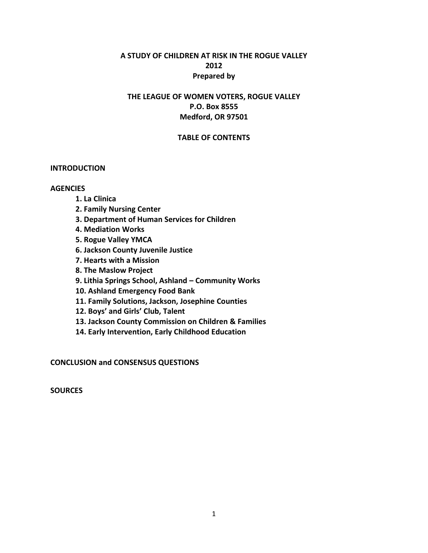# **A STUDY OF CHILDREN AT RISK IN THE ROGUE VALLEY 2012 Prepared by**

# **THE LEAGUE OF WOMEN VOTERS, ROGUE VALLEY P.O. Box 8555 Medford, OR 97501**

### **TABLE OF CONTENTS**

#### **INTRODUCTION**

#### **AGENCIES**

- **1. La Clinica**
- **2. Family Nursing Center**
- **3. Department of Human Services for Children**
- **4. Mediation Works**
- **5. Rogue Valley YMCA**
- **6. Jackson County Juvenile Justice**
- **7. Hearts with a Mission**
- **8. The Maslow Project**
- **9. Lithia Springs School, Ashland Community Works**
- **10. Ashland Emergency Food Bank**
- **11. Family Solutions, Jackson, Josephine Counties**
- **12. Boys' and Girls' Club, Talent**
- **13. Jackson County Commission on Children & Families**
- **14. Early Intervention, Early Childhood Education**

**CONCLUSION and CONSENSUS QUESTIONS**

**SOURCES**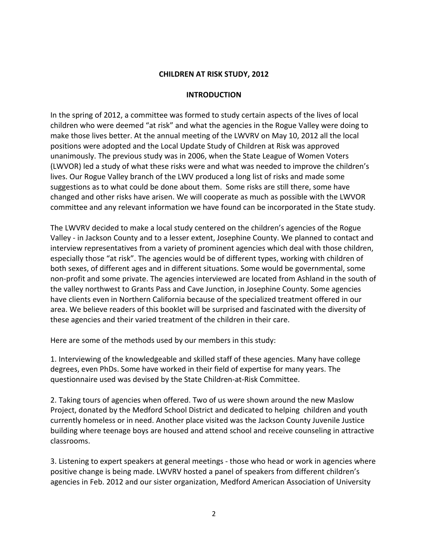#### **CHILDREN AT RISK STUDY, 2012**

#### **INTRODUCTION**

In the spring of 2012, a committee was formed to study certain aspects of the lives of local children who were deemed "at risk" and what the agencies in the Rogue Valley were doing to make those lives better. At the annual meeting of the LWVRV on May 10, 2012 all the local positions were adopted and the Local Update Study of Children at Risk was approved unanimously. The previous study was in 2006, when the State League of Women Voters (LWVOR) led a study of what these risks were and what was needed to improve the children's lives. Our Rogue Valley branch of the LWV produced a long list of risks and made some suggestions as to what could be done about them. Some risks are still there, some have changed and other risks have arisen. We will cooperate as much as possible with the LWVOR committee and any relevant information we have found can be incorporated in the State study.

The LWVRV decided to make a local study centered on the children's agencies of the Rogue Valley - in Jackson County and to a lesser extent, Josephine County. We planned to contact and interview representatives from a variety of prominent agencies which deal with those children, especially those "at risk". The agencies would be of different types, working with children of both sexes, of different ages and in different situations. Some would be governmental, some non-profit and some private. The agencies interviewed are located from Ashland in the south of the valley northwest to Grants Pass and Cave Junction, in Josephine County. Some agencies have clients even in Northern California because of the specialized treatment offered in our area. We believe readers of this booklet will be surprised and fascinated with the diversity of these agencies and their varied treatment of the children in their care.

Here are some of the methods used by our members in this study:

1. Interviewing of the knowledgeable and skilled staff of these agencies. Many have college degrees, even PhDs. Some have worked in their field of expertise for many years. The questionnaire used was devised by the State Children-at-Risk Committee.

2. Taking tours of agencies when offered. Two of us were shown around the new Maslow Project, donated by the Medford School District and dedicated to helping children and youth currently homeless or in need. Another place visited was the Jackson County Juvenile Justice building where teenage boys are housed and attend school and receive counseling in attractive classrooms.

3. Listening to expert speakers at general meetings - those who head or work in agencies where positive change is being made. LWVRV hosted a panel of speakers from different children's agencies in Feb. 2012 and our sister organization, Medford American Association of University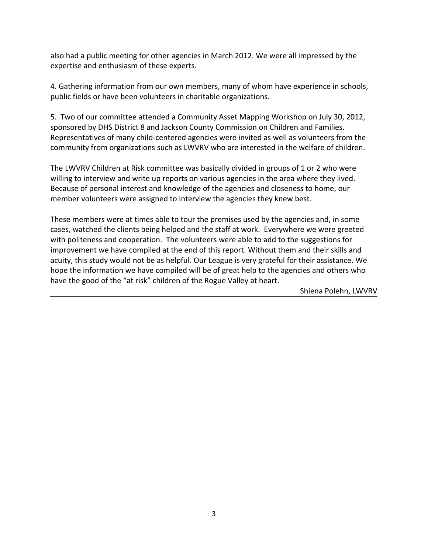also had a public meeting for other agencies in March 2012. We were all impressed by the expertise and enthusiasm of these experts.

4. Gathering information from our own members, many of whom have experience in schools, public fields or have been volunteers in charitable organizations.

5. Two of our committee attended a Community Asset Mapping Workshop on July 30, 2012, sponsored by DHS District 8 and Jackson County Commission on Children and Families. Representatives of many child-centered agencies were invited as well as volunteers from the community from organizations such as LWVRV who are interested in the welfare of children.

The LWVRV Children at Risk committee was basically divided in groups of 1 or 2 who were willing to interview and write up reports on various agencies in the area where they lived. Because of personal interest and knowledge of the agencies and closeness to home, our member volunteers were assigned to interview the agencies they knew best.

These members were at times able to tour the premises used by the agencies and, in some cases, watched the clients being helped and the staff at work. Everywhere we were greeted with politeness and cooperation. The volunteers were able to add to the suggestions for improvement we have compiled at the end of this report. Without them and their skills and acuity, this study would not be as helpful. Our League is very grateful for their assistance. We hope the information we have compiled will be of great help to the agencies and others who have the good of the "at risk" children of the Rogue Valley at heart.

Shiena Polehn, LWVRV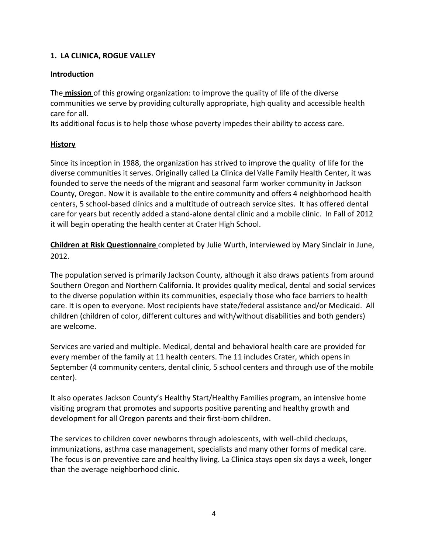# **1. LA CLINICA, ROGUE VALLEY**

### **Introduction**

The **mission** of this growing organization: to improve the quality of life of the diverse communities we serve by providing culturally appropriate, high quality and accessible health care for all.

Its additional focus is to help those whose poverty impedes their ability to access care.

### **History**

Since its inception in 1988, the organization has strived to improve the quality of life for the diverse communities it serves. Originally called La Clinica del Valle Family Health Center, it was founded to serve the needs of the migrant and seasonal farm worker community in Jackson County, Oregon. Now it is available to the entire community and offers 4 neighborhood health centers, 5 school-based clinics and a multitude of outreach service sites. It has offered dental care for years but recently added a stand-alone dental clinic and a mobile clinic. In Fall of 2012 it will begin operating the health center at Crater High School.

**Children at Risk Questionnaire** completed by Julie Wurth, interviewed by Mary Sinclair in June, 2012.

The population served is primarily Jackson County, although it also draws patients from around Southern Oregon and Northern California. It provides quality medical, dental and social services to the diverse population within its communities, especially those who face barriers to health care. It is open to everyone. Most recipients have state/federal assistance and/or Medicaid. All children (children of color, different cultures and with/without disabilities and both genders) are welcome.

Services are varied and multiple. Medical, dental and behavioral health care are provided for every member of the family at 11 health centers. The 11 includes Crater, which opens in September (4 community centers, dental clinic, 5 school centers and through use of the mobile center).

It also operates Jackson County's Healthy Start/Healthy Families program, an intensive home visiting program that promotes and supports positive parenting and healthy growth and development for all Oregon parents and their first-born children.

The services to children cover newborns through adolescents, with well-child checkups, immunizations, asthma case management, specialists and many other forms of medical care. The focus is on preventive care and healthy living. La Clinica stays open six days a week, longer than the average neighborhood clinic.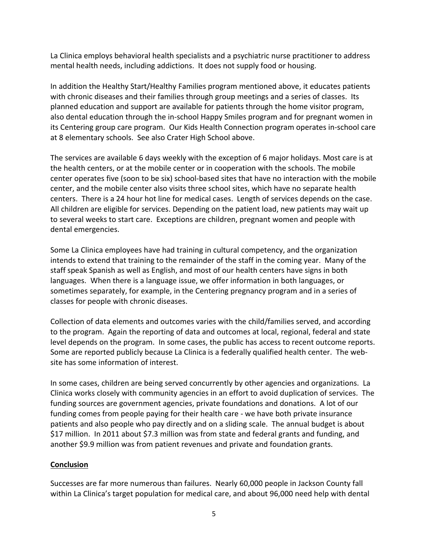La Clinica employs behavioral health specialists and a psychiatric nurse practitioner to address mental health needs, including addictions. It does not supply food or housing.

In addition the Healthy Start/Healthy Families program mentioned above, it educates patients with chronic diseases and their families through group meetings and a series of classes. Its planned education and support are available for patients through the home visitor program, also dental education through the in-school Happy Smiles program and for pregnant women in its Centering group care program. Our Kids Health Connection program operates in-school care at 8 elementary schools. See also Crater High School above.

The services are available 6 days weekly with the exception of 6 major holidays. Most care is at the health centers, or at the mobile center or in cooperation with the schools. The mobile center operates five (soon to be six) school-based sites that have no interaction with the mobile center, and the mobile center also visits three school sites, which have no separate health centers. There is a 24 hour hot line for medical cases. Length of services depends on the case. All children are eligible for services. Depending on the patient load, new patients may wait up to several weeks to start care. Exceptions are children, pregnant women and people with dental emergencies.

Some La Clinica employees have had training in cultural competency, and the organization intends to extend that training to the remainder of the staff in the coming year. Many of the staff speak Spanish as well as English, and most of our health centers have signs in both languages. When there is a language issue, we offer information in both languages, or sometimes separately, for example, in the Centering pregnancy program and in a series of classes for people with chronic diseases.

Collection of data elements and outcomes varies with the child/families served, and according to the program. Again the reporting of data and outcomes at local, regional, federal and state level depends on the program. In some cases, the public has access to recent outcome reports. Some are reported publicly because La Clinica is a federally qualified health center. The website has some information of interest.

In some cases, children are being served concurrently by other agencies and organizations. La Clinica works closely with community agencies in an effort to avoid duplication of services. The funding sources are government agencies, private foundations and donations. A lot of our funding comes from people paying for their health care - we have both private insurance patients and also people who pay directly and on a sliding scale. The annual budget is about \$17 million. In 2011 about \$7.3 million was from state and federal grants and funding, and another \$9.9 million was from patient revenues and private and foundation grants.

# **Conclusion**

Successes are far more numerous than failures. Nearly 60,000 people in Jackson County fall within La Clinica's target population for medical care, and about 96,000 need help with dental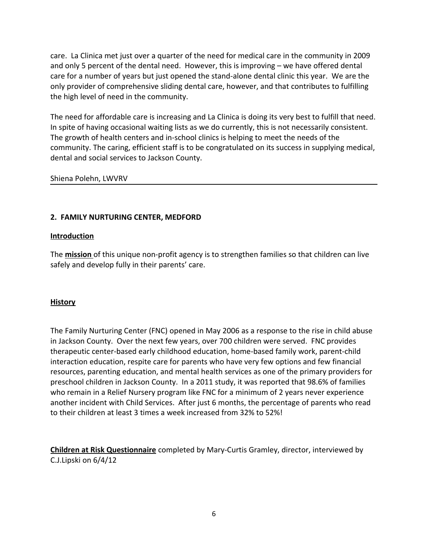care. La Clinica met just over a quarter of the need for medical care in the community in 2009 and only 5 percent of the dental need. However, this is improving – we have offered dental care for a number of years but just opened the stand-alone dental clinic this year. We are the only provider of comprehensive sliding dental care, however, and that contributes to fulfilling the high level of need in the community.

The need for affordable care is increasing and La Clinica is doing its very best to fulfill that need. In spite of having occasional waiting lists as we do currently, this is not necessarily consistent. The growth of health centers and in-school clinics is helping to meet the needs of the community. The caring, efficient staff is to be congratulated on its success in supplying medical, dental and social services to Jackson County.

Shiena Polehn, LWVRV

# **2. FAMILY NURTURING CENTER, MEDFORD**

### **Introduction**

The **mission** of this unique non-profit agency is to strengthen families so that children can live safely and develop fully in their parents' care.

# **History**

The Family Nurturing Center (FNC) opened in May 2006 as a response to the rise in child abuse in Jackson County. Over the next few years, over 700 children were served. FNC provides therapeutic center-based early childhood education, home-based family work, parent-child interaction education, respite care for parents who have very few options and few financial resources, parenting education, and mental health services as one of the primary providers for preschool children in Jackson County. In a 2011 study, it was reported that 98.6% of families who remain in a Relief Nursery program like FNC for a minimum of 2 years never experience another incident with Child Services. After just 6 months, the percentage of parents who read to their children at least 3 times a week increased from 32% to 52%!

**Children at Risk Questionnaire** completed by Mary-Curtis Gramley, director, interviewed by C.J.Lipski on 6/4/12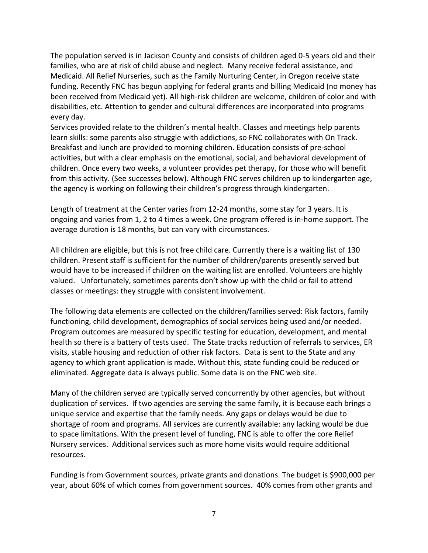The population served is in Jackson County and consists of children aged 0-5 years old and their families, who are at risk of child abuse and neglect. Many receive federal assistance, and Medicaid. All Relief Nurseries, such as the Family Nurturing Center, in Oregon receive state funding. Recently FNC has begun applying for federal grants and billing Medicaid (no money has been received from Medicaid yet). All high-risk children are welcome, children of color and with disabilities, etc. Attention to gender and cultural differences are incorporated into programs every day.

Services provided relate to the children's mental health. Classes and meetings help parents learn skills: some parents also struggle with addictions, so FNC collaborates with On Track. Breakfast and lunch are provided to morning children. Education consists of pre-school activities, but with a clear emphasis on the emotional, social, and behavioral development of children. Once every two weeks, a volunteer provides pet therapy, for those who will benefit from this activity. (See successes below). Although FNC serves children up to kindergarten age, the agency is working on following their children's progress through kindergarten.

Length of treatment at the Center varies from 12-24 months, some stay for 3 years. It is ongoing and varies from 1, 2 to 4 times a week. One program offered is in-home support. The average duration is 18 months, but can vary with circumstances.

All children are eligible, but this is not free child care. Currently there is a waiting list of 130 children. Present staff is sufficient for the number of children/parents presently served but would have to be increased if children on the waiting list are enrolled. Volunteers are highly valued. Unfortunately, sometimes parents don't show up with the child or fail to attend classes or meetings: they struggle with consistent involvement.

The following data elements are collected on the children/families served: Risk factors, family functioning, child development, demographics of social services being used and/or needed. Program outcomes are measured by specific testing for education, development, and mental health so there is a battery of tests used. The State tracks reduction of referrals to services, ER visits, stable housing and reduction of other risk factors. Data is sent to the State and any agency to which grant application is made. Without this, state funding could be reduced or eliminated. Aggregate data is always public. Some data is on the FNC web site.

Many of the children served are typically served concurrently by other agencies, but without duplication of services. If two agencies are serving the same family, it is because each brings a unique service and expertise that the family needs. Any gaps or delays would be due to shortage of room and programs. All services are currently available: any lacking would be due to space limitations. With the present level of funding, FNC is able to offer the core Relief Nursery services. Additional services such as more home visits would require additional resources.

Funding is from Government sources, private grants and donations. The budget is \$900,000 per year, about 60% of which comes from government sources. 40% comes from other grants and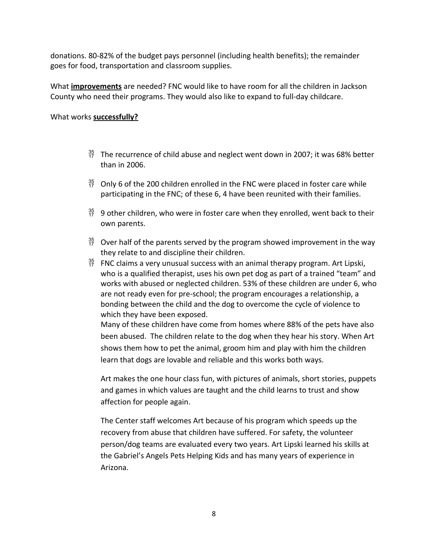donations. 80-82% of the budget pays personnel (including health benefits); the remainder goes for food, transportation and classroom supplies.

What **improvements** are needed? FNC would like to have room for all the children in Jackson County who need their programs. They would also like to expand to full-day childcare.

### What works **successfully?**

- $^{35}_{17}$  The recurrence of child abuse and neglect went down in 2007; it was 68% better than in 2006.
- $^{35}_{17}$  Only 6 of the 200 children enrolled in the FNC were placed in foster care while participating in the FNC; of these 6, 4 have been reunited with their families.
- $^{35}_{17}$  9 other children, who were in foster care when they enrolled, went back to their own parents.
- $^{35}_{17}$  Over half of the parents served by the program showed improvement in the way they relate to and discipline their children.
- $^{35}_{17}$  FNC claims a very unusual success with an animal therapy program. Art Lipski, who is a qualified therapist, uses his own pet dog as part of a trained "team" and works with abused or neglected children. 53% of these children are under 6, who are not ready even for pre-school; the program encourages a relationship, a bonding between the child and the dog to overcome the cycle of violence to which they have been exposed.

Many of these children have come from homes where 88% of the pets have also been abused. The children relate to the dog when they hear his story. When Art shows them how to pet the animal, groom him and play with him the children learn that dogs are lovable and reliable and this works both ways.

Art makes the one hour class fun, with pictures of animals, short stories, puppets and games in which values are taught and the child learns to trust and show affection for people again.

The Center staff welcomes Art because of his program which speeds up the recovery from abuse that children have suffered. For safety, the volunteer person/dog teams are evaluated every two years. Art Lipski learned his skills at the Gabriel's Angels Pets Helping Kids and has many years of experience in Arizona.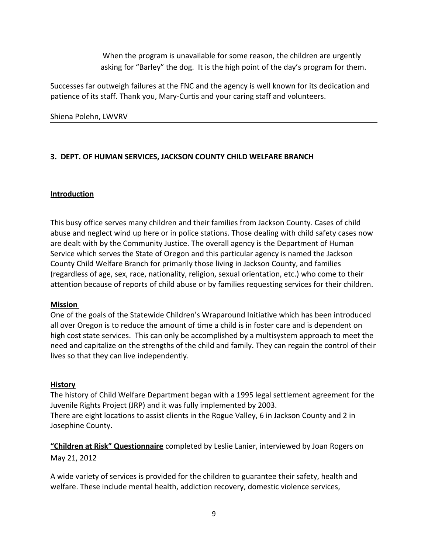When the program is unavailable for some reason, the children are urgently asking for "Barley" the dog. It is the high point of the day's program for them.

Successes far outweigh failures at the FNC and the agency is well known for its dedication and patience of its staff. Thank you, Mary-Curtis and your caring staff and volunteers.

### Shiena Polehn, LWVRV

# **3. DEPT. OF HUMAN SERVICES, JACKSON COUNTY CHILD WELFARE BRANCH**

# **Introduction**

This busy office serves many children and their families from Jackson County. Cases of child abuse and neglect wind up here or in police stations. Those dealing with child safety cases now are dealt with by the Community Justice. The overall agency is the Department of Human Service which serves the State of Oregon and this particular agency is named the Jackson County Child Welfare Branch for primarily those living in Jackson County, and families (regardless of age, sex, race, nationality, religion, sexual orientation, etc.) who come to their attention because of reports of child abuse or by families requesting services for their children.

#### **Mission**

One of the goals of the Statewide Children's Wraparound Initiative which has been introduced all over Oregon is to reduce the amount of time a child is in foster care and is dependent on high cost state services. This can only be accomplished by a multisystem approach to meet the need and capitalize on the strengths of the child and family. They can regain the control of their lives so that they can live independently.

#### **History**

The history of Child Welfare Department began with a 1995 legal settlement agreement for the Juvenile Rights Project (JRP) and it was fully implemented by 2003. There are eight locations to assist clients in the Rogue Valley, 6 in Jackson County and 2 in Josephine County.

**"Children at Risk" Questionnaire** completed by Leslie Lanier, interviewed by Joan Rogers on May 21, 2012

A wide variety of services is provided for the children to guarantee their safety, health and welfare. These include mental health, addiction recovery, domestic violence services,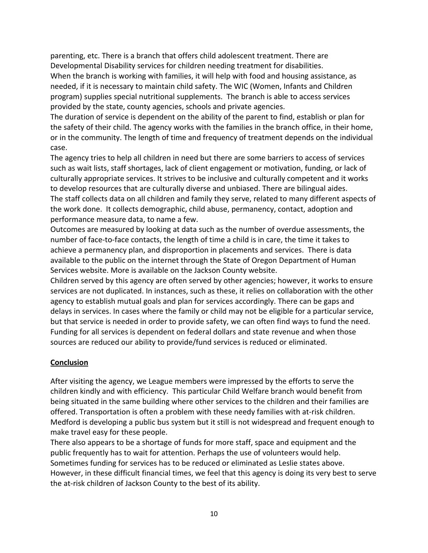parenting, etc. There is a branch that offers child adolescent treatment. There are Developmental Disability services for children needing treatment for disabilities. When the branch is working with families, it will help with food and housing assistance, as needed, if it is necessary to maintain child safety. The WIC (Women, Infants and Children program) supplies special nutritional supplements. The branch is able to access services provided by the state, county agencies, schools and private agencies.

The duration of service is dependent on the ability of the parent to find, establish or plan for the safety of their child. The agency works with the families in the branch office, in their home, or in the community. The length of time and frequency of treatment depends on the individual case.

The agency tries to help all children in need but there are some barriers to access of services such as wait lists, staff shortages, lack of client engagement or motivation, funding, or lack of culturally appropriate services. It strives to be inclusive and culturally competent and it works to develop resources that are culturally diverse and unbiased. There are bilingual aides. The staff collects data on all children and family they serve, related to many different aspects of the work done. It collects demographic, child abuse, permanency, contact, adoption and performance measure data, to name a few.

Outcomes are measured by looking at data such as the number of overdue assessments, the number of face-to-face contacts, the length of time a child is in care, the time it takes to achieve a permanency plan, and disproportion in placements and services. There is data available to the public on the internet through the State of Oregon Department of Human Services website. More is available on the Jackson County website.

Children served by this agency are often served by other agencies; however, it works to ensure services are not duplicated. In instances, such as these, it relies on collaboration with the other agency to establish mutual goals and plan for services accordingly. There can be gaps and delays in services. In cases where the family or child may not be eligible for a particular service, but that service is needed in order to provide safety, we can often find ways to fund the need. Funding for all services is dependent on federal dollars and state revenue and when those sources are reduced our ability to provide/fund services is reduced or eliminated.

#### **Conclusion**

After visiting the agency, we League members were impressed by the efforts to serve the children kindly and with efficiency. This particular Child Welfare branch would benefit from being situated in the same building where other services to the children and their families are offered. Transportation is often a problem with these needy families with at-risk children. Medford is developing a public bus system but it still is not widespread and frequent enough to make travel easy for these people.

There also appears to be a shortage of funds for more staff, space and equipment and the public frequently has to wait for attention. Perhaps the use of volunteers would help. Sometimes funding for services has to be reduced or eliminated as Leslie states above. However, in these difficult financial times, we feel that this agency is doing its very best to serve the at-risk children of Jackson County to the best of its ability.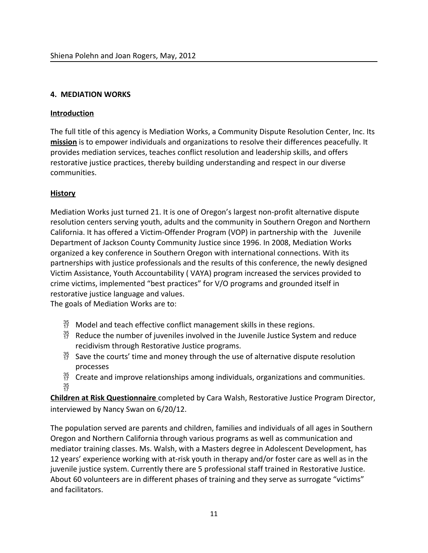### **4. MEDIATION WORKS**

### **Introduction**

The full title of this agency is Mediation Works, a Community Dispute Resolution Center, Inc. Its **mission** is to empower individuals and organizations to resolve their differences peacefully. It provides mediation services, teaches conflict resolution and leadership skills, and offers restorative justice practices, thereby building understanding and respect in our diverse communities.

### **History**

Mediation Works just turned 21. It is one of Oregon's largest non-profit alternative dispute resolution centers serving youth, adults and the community in Southern Oregon and Northern California. It has offered a Victim-Offender Program (VOP) in partnership with the Juvenile Department of Jackson County Community Justice since 1996. In 2008, Mediation Works organized a key conference in Southern Oregon with international connections. With its partnerships with justice professionals and the results of this conference, the newly designed Victim Assistance, Youth Accountability ( VAYA) program increased the services provided to crime victims, implemented "best practices" for V/O programs and grounded itself in restorative justice language and values.

The goals of Mediation Works are to:

- $^{35}_{17}$  Model and teach effective conflict management skills in these regions.
- $^{35}_{17}$  Reduce the number of juveniles involved in the Juvenile Justice System and reduce recidivism through Restorative Justice programs.
- $\frac{35}{17}$  Save the courts' time and money through the use of alternative dispute resolution processes
- $^{35}_{17}$  Create and improve relationships among individuals, organizations and communities.  $\frac{35}{17}$

**Children at Risk Questionnaire** completed by Cara Walsh, Restorative Justice Program Director, interviewed by Nancy Swan on 6/20/12.

The population served are parents and children, families and individuals of all ages in Southern Oregon and Northern California through various programs as well as communication and mediator training classes. Ms. Walsh, with a Masters degree in Adolescent Development, has 12 years' experience working with at-risk youth in therapy and/or foster care as well as in the juvenile justice system. Currently there are 5 professional staff trained in Restorative Justice. About 60 volunteers are in different phases of training and they serve as surrogate "victims" and facilitators.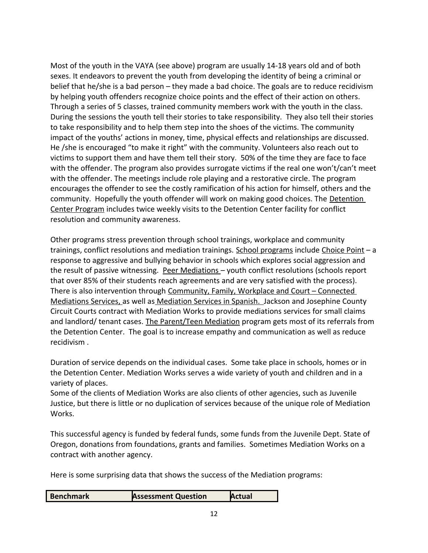Most of the youth in the VAYA (see above) program are usually 14-18 years old and of both sexes. It endeavors to prevent the youth from developing the identity of being a criminal or belief that he/she is a bad person – they made a bad choice. The goals are to reduce recidivism by helping youth offenders recognize choice points and the effect of their action on others. Through a series of 5 classes, trained community members work with the youth in the class. During the sessions the youth tell their stories to take responsibility. They also tell their stories to take responsibility and to help them step into the shoes of the victims. The community impact of the youths' actions in money, time, physical effects and relationships are discussed. He /she is encouraged "to make it right" with the community. Volunteers also reach out to victims to support them and have them tell their story. 50% of the time they are face to face with the offender. The program also provides surrogate victims if the real one won't/can't meet with the offender. The meetings include role playing and a restorative circle. The program encourages the offender to see the costly ramification of his action for himself, others and the community. Hopefully the youth offender will work on making good choices. The Detention Center Program includes twice weekly visits to the Detention Center facility for conflict resolution and community awareness.

Other programs stress prevention through school trainings, workplace and community trainings, conflict resolutions and mediation trainings. School programs include Choice Point - a response to aggressive and bullying behavior in schools which explores social aggression and the result of passive witnessing. Peer Mediations – youth conflict resolutions (schools report that over 85% of their students reach agreements and are very satisfied with the process). There is also intervention through Community, Family, Workplace and Court – Connected Mediations Services, as well as Mediation Services in Spanish. Jackson and Josephine County Circuit Courts contract with Mediation Works to provide mediations services for small claims and landlord/ tenant cases. The Parent/Teen Mediation program gets most of its referrals from the Detention Center. The goal is to increase empathy and communication as well as reduce recidivism .

Duration of service depends on the individual cases. Some take place in schools, homes or in the Detention Center. Mediation Works serves a wide variety of youth and children and in a variety of places.

Some of the clients of Mediation Works are also clients of other agencies, such as Juvenile Justice, but there is little or no duplication of services because of the unique role of Mediation Works.

This successful agency is funded by federal funds, some funds from the Juvenile Dept. State of Oregon, donations from foundations, grants and families. Sometimes Mediation Works on a contract with another agency.

Here is some surprising data that shows the success of the Mediation programs: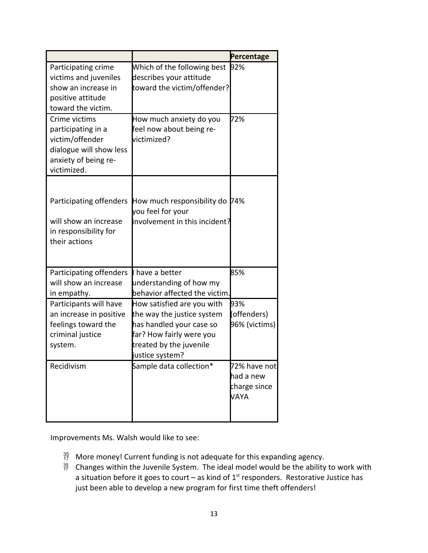|                                                                                                                          |                                                                                                                                                                | Percentage                                        |
|--------------------------------------------------------------------------------------------------------------------------|----------------------------------------------------------------------------------------------------------------------------------------------------------------|---------------------------------------------------|
| Participating crime<br>victims and juveniles<br>show an increase in<br>positive attitude<br>toward the victim.           | Which of the following best<br>describes your attitude<br>toward the victim/offender?                                                                          | 92%                                               |
| Crime victims<br>participating in a<br>victim/offender<br>dialogue will show less<br>anxiety of being re-<br>victimized. | How much anxiety do you<br>feel now about being re-<br>(victimized                                                                                             | 72%                                               |
| Participating offenders<br>will show an increase<br>in responsibility for<br>their actions                               | How much responsibility do<br>you feel for your<br>involvement in this incident?                                                                               | 174%                                              |
| Participating offenders<br>will show an increase<br>in empathy.                                                          | I have a better<br>understanding of how my<br>behavior affected the victim.                                                                                    | 85%                                               |
| Participants will have<br>an increase in positive<br>feelings toward the<br>criminal justice<br>system.                  | How satisfied are you with<br>the way the justice system<br>has handled your case so<br>far? How fairly were you<br>treated by the juvenile<br>justice system? | 93%<br>(offenders)<br>96% (victims)               |
| Recidivism                                                                                                               | Sample data collection*                                                                                                                                        | 72% have not<br>had a new<br>charge since<br>VAYA |

Improvements Ms. Walsh would like to see:

- $^{35}_{17}$  More money! Current funding is not adequate for this expanding agency.
- $^{35}_{17}$  Changes within the Juvenile System. The ideal model would be the ability to work with a situation before it goes to court – as kind of  $1<sup>st</sup>$  responders. Restorative Justice has just been able to develop a new program for first time theft offenders!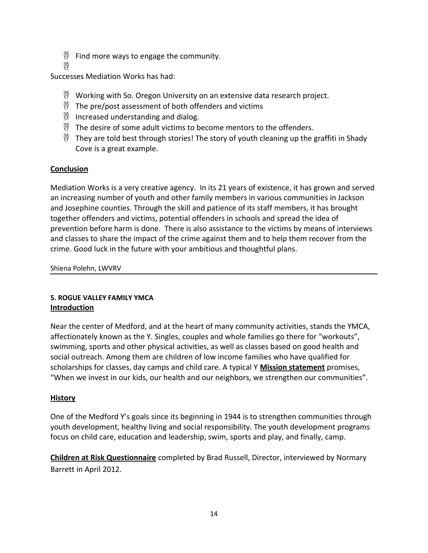- $^{35}_{17}$  Find more ways to engage the community.
- $\frac{35}{17}$

Successes Mediation Works has had:

- $^{35}_{17}$  Working with So. Oregon University on an extensive data research project.
- $^{35}_{17}$  The pre/post assessment of both offenders and victims
- $^{35}_{17}$  Increased understanding and dialog.
- $^{35}_{17}$  The desire of some adult victims to become mentors to the offenders.
- $^{35}_{17}$  They are told best through stories! The story of youth cleaning up the graffiti in Shady Cove is a great example.

# **Conclusion**

Mediation Works is a very creative agency. In its 21 years of existence, it has grown and served an increasing number of youth and other family members in various communities in Jackson and Josephine counties. Through the skill and patience of its staff members, it has brought together offenders and victims, potential offenders in schools and spread the idea of prevention before harm is done. There is also assistance to the victims by means of interviews and classes to share the impact of the crime against them and to help them recover from the crime. Good luck in the future with your ambitious and thoughtful plans.

Shiena Polehn, LWVRV

# **5. ROGUE VALLEY FAMILY YMCA Introduction**

Near the center of Medford, and at the heart of many community activities, stands the YMCA, affectionately known as the Y. Singles, couples and whole families go there for "workouts", swimming, sports and other physical activities, as well as classes based on good health and social outreach. Among them are children of low income families who have qualified for scholarships for classes, day camps and child care. A typical Y **Mission statement** promises, "When we invest in our kids, our health and our neighbors, we strengthen our communities".

# **History**

One of the Medford Y's goals since its beginning in 1944 is to strengthen communities through youth development, healthy living and social responsibility. The youth development programs focus on child care, education and leadership, swim, sports and play, and finally, camp.

**Children at Risk Questionnaire** completed by Brad Russell, Director, interviewed by Normary Barrett in April 2012.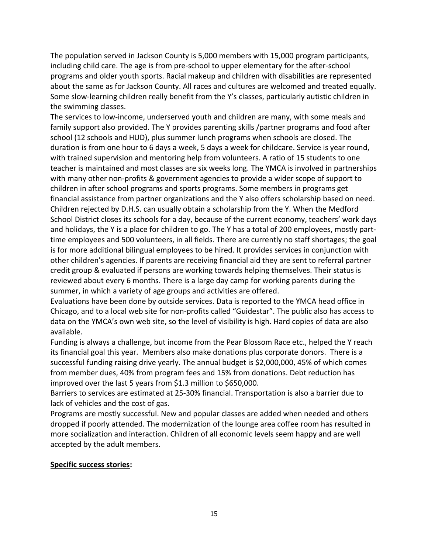The population served in Jackson County is 5,000 members with 15,000 program participants, including child care. The age is from pre-school to upper elementary for the after-school programs and older youth sports. Racial makeup and children with disabilities are represented about the same as for Jackson County. All races and cultures are welcomed and treated equally. Some slow-learning children really benefit from the Y's classes, particularly autistic children in the swimming classes.

The services to low-income, underserved youth and children are many, with some meals and family support also provided. The Y provides parenting skills /partner programs and food after school (12 schools and HUD), plus summer lunch programs when schools are closed. The duration is from one hour to 6 days a week, 5 days a week for childcare. Service is year round, with trained supervision and mentoring help from volunteers. A ratio of 15 students to one teacher is maintained and most classes are six weeks long. The YMCA is involved in partnerships with many other non-profits & government agencies to provide a wider scope of support to children in after school programs and sports programs. Some members in programs get financial assistance from partner organizations and the Y also offers scholarship based on need. Children rejected by D.H.S. can usually obtain a scholarship from the Y. When the Medford School District closes its schools for a day, because of the current economy, teachers' work days and holidays, the Y is a place for children to go. The Y has a total of 200 employees, mostly parttime employees and 500 volunteers, in all fields. There are currently no staff shortages; the goal is for more additional bilingual employees to be hired. It provides services in conjunction with other children's agencies. If parents are receiving financial aid they are sent to referral partner credit group & evaluated if persons are working towards helping themselves. Their status is reviewed about every 6 months. There is a large day camp for working parents during the summer, in which a variety of age groups and activities are offered.

Evaluations have been done by outside services. Data is reported to the YMCA head office in Chicago, and to a local web site for non-profits called "Guidestar". The public also has access to data on the YMCA's own web site, so the level of visibility is high. Hard copies of data are also available.

Funding is always a challenge, but income from the Pear Blossom Race etc., helped the Y reach its financial goal this year. Members also make donations plus corporate donors. There is a successful funding raising drive yearly. The annual budget is \$2,000,000, 45% of which comes from member dues, 40% from program fees and 15% from donations. Debt reduction has improved over the last 5 years from \$1.3 million to \$650,000.

Barriers to services are estimated at 25-30% financial. Transportation is also a barrier due to lack of vehicles and the cost of gas.

Programs are mostly successful. New and popular classes are added when needed and others dropped if poorly attended. The modernization of the lounge area coffee room has resulted in more socialization and interaction. Children of all economic levels seem happy and are well accepted by the adult members.

#### **Specific success stories:**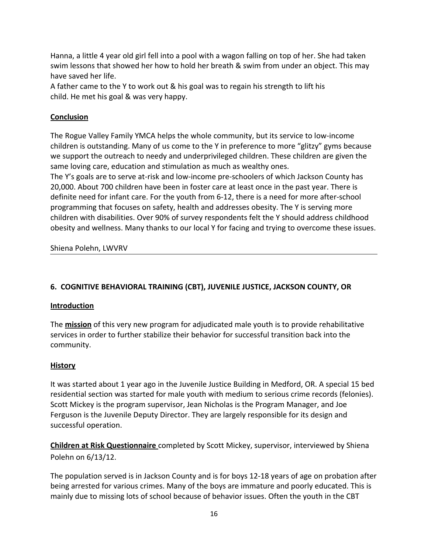Hanna, a little 4 year old girl fell into a pool with a wagon falling on top of her. She had taken swim lessons that showed her how to hold her breath & swim from under an object. This may have saved her life.

A father came to the Y to work out & his goal was to regain his strength to lift his child. He met his goal & was very happy.

# **Conclusion**

The Rogue Valley Family YMCA helps the whole community, but its service to low-income children is outstanding. Many of us come to the Y in preference to more "glitzy" gyms because we support the outreach to needy and underprivileged children. These children are given the same loving care, education and stimulation as much as wealthy ones.

The Y's goals are to serve at-risk and low-income pre-schoolers of which Jackson County has 20,000. About 700 children have been in foster care at least once in the past year. There is definite need for infant care. For the youth from 6-12, there is a need for more after-school programming that focuses on safety, health and addresses obesity. The Y is serving more children with disabilities. Over 90% of survey respondents felt the Y should address childhood obesity and wellness. Many thanks to our local Y for facing and trying to overcome these issues.

Shiena Polehn, LWVRV

# **6. COGNITIVE BEHAVIORAL TRAINING (CBT), JUVENILE JUSTICE, JACKSON COUNTY, OR**

# **Introduction**

The **mission** of this very new program for adjudicated male youth is to provide rehabilitative services in order to further stabilize their behavior for successful transition back into the community.

# **History**

It was started about 1 year ago in the Juvenile Justice Building in Medford, OR. A special 15 bed residential section was started for male youth with medium to serious crime records (felonies). Scott Mickey is the program supervisor, Jean Nicholas is the Program Manager, and Joe Ferguson is the Juvenile Deputy Director. They are largely responsible for its design and successful operation.

**Children at Risk Questionnaire** completed by Scott Mickey, supervisor, interviewed by Shiena Polehn on 6/13/12.

The population served is in Jackson County and is for boys 12-18 years of age on probation after being arrested for various crimes. Many of the boys are immature and poorly educated. This is mainly due to missing lots of school because of behavior issues. Often the youth in the CBT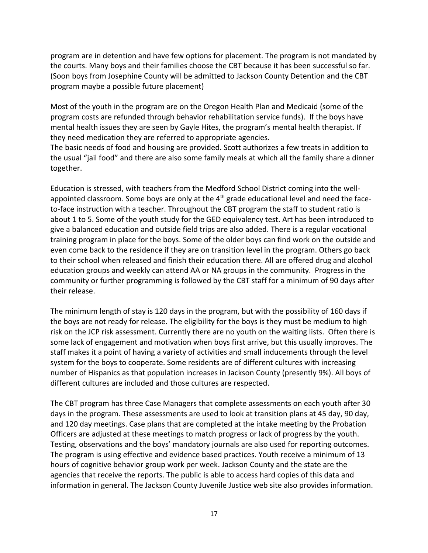program are in detention and have few options for placement. The program is not mandated by the courts. Many boys and their families choose the CBT because it has been successful so far. (Soon boys from Josephine County will be admitted to Jackson County Detention and the CBT program maybe a possible future placement)

Most of the youth in the program are on the Oregon Health Plan and Medicaid (some of the program costs are refunded through behavior rehabilitation service funds). If the boys have mental health issues they are seen by Gayle Hites, the program's mental health therapist. If they need medication they are referred to appropriate agencies.

The basic needs of food and housing are provided. Scott authorizes a few treats in addition to the usual "jail food" and there are also some family meals at which all the family share a dinner together.

Education is stressed, with teachers from the Medford School District coming into the wellappointed classroom. Some boys are only at the  $4<sup>th</sup>$  grade educational level and need the faceto-face instruction with a teacher. Throughout the CBT program the staff to student ratio is about 1 to 5. Some of the youth study for the GED equivalency test. Art has been introduced to give a balanced education and outside field trips are also added. There is a regular vocational training program in place for the boys. Some of the older boys can find work on the outside and even come back to the residence if they are on transition level in the program. Others go back to their school when released and finish their education there. All are offered drug and alcohol education groups and weekly can attend AA or NA groups in the community. Progress in the community or further programming is followed by the CBT staff for a minimum of 90 days after their release.

The minimum length of stay is 120 days in the program, but with the possibility of 160 days if the boys are not ready for release. The eligibility for the boys is they must be medium to high risk on the JCP risk assessment. Currently there are no youth on the waiting lists. Often there is some lack of engagement and motivation when boys first arrive, but this usually improves. The staff makes it a point of having a variety of activities and small inducements through the level system for the boys to cooperate. Some residents are of different cultures with increasing number of Hispanics as that population increases in Jackson County (presently 9%). All boys of different cultures are included and those cultures are respected.

The CBT program has three Case Managers that complete assessments on each youth after 30 days in the program. These assessments are used to look at transition plans at 45 day, 90 day, and 120 day meetings. Case plans that are completed at the intake meeting by the Probation Officers are adjusted at these meetings to match progress or lack of progress by the youth. Testing, observations and the boys' mandatory journals are also used for reporting outcomes. The program is using effective and evidence based practices. Youth receive a minimum of 13 hours of cognitive behavior group work per week. Jackson County and the state are the agencies that receive the reports. The public is able to access hard copies of this data and information in general. The Jackson County Juvenile Justice web site also provides information.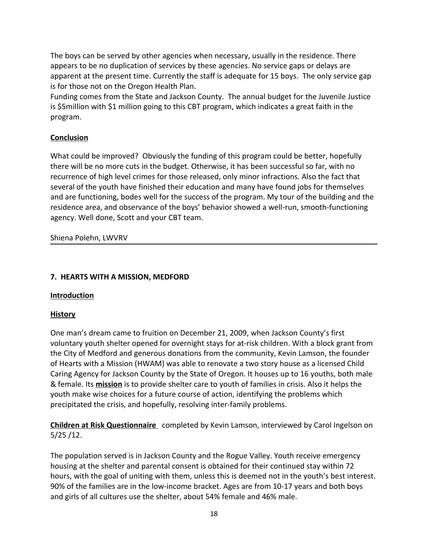The boys can be served by other agencies when necessary, usually in the residence. There appears to be no duplication of services by these agencies. No service gaps or delays are apparent at the present time. Currently the staff is adequate for 15 boys. The only service gap is for those not on the Oregon Health Plan.

Funding comes from the State and Jackson County. The annual budget for the Juvenile Justice is \$5million with \$1 million going to this CBT program, which indicates a great faith in the program.

# **Conclusion**

What could be improved? Obviously the funding of this program could be better, hopefully there will be no more cuts in the budget. Otherwise, it has been successful so far, with no recurrence of high level crimes for those released, only minor infractions. Also the fact that several of the youth have finished their education and many have found jobs for themselves and are functioning, bodes well for the success of the program. My tour of the building and the residence area, and observance of the boys' behavior showed a well-run, smooth-functioning agency. Well done, Scott and your CBT team.

Shiena Polehn, LWVRV

# **7. HEARTS WITH A MISSION, MEDFORD**

# **Introduction**

# **History**

One man's dream came to fruition on December 21, 2009, when Jackson County's first voluntary youth shelter opened for overnight stays for at-risk children. With a block grant from the City of Medford and generous donations from the community, Kevin Lamson, the founder of Hearts with a Mission (HWAM) was able to renovate a two story house as a licensed Child Caring Agency for Jackson County by the State of Oregon. It houses up to 16 youths, both male & female. Its **mission** is to provide shelter care to youth of families in crisis. Also it helps the youth make wise choices for a future course of action, identifying the problems which precipitated the crisis, and hopefully, resolving inter-family problems.

 **Children at Risk Questionnaire** completed by Kevin Lamson, interviewed by Carol Ingelson on 5/25 /12.

The population served is in Jackson County and the Rogue Valley. Youth receive emergency housing at the shelter and parental consent is obtained for their continued stay within 72 hours, with the goal of uniting with them, unless this is deemed not in the youth's best interest. 90% of the families are in the low-income bracket. Ages are from 10-17 years and both boys and girls of all cultures use the shelter, about 54% female and 46% male.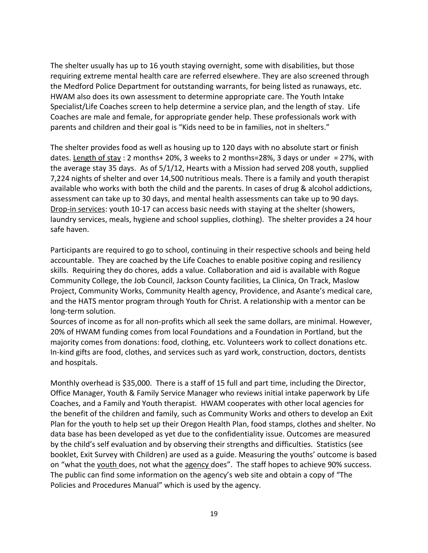The shelter usually has up to 16 youth staying overnight, some with disabilities, but those requiring extreme mental health care are referred elsewhere. They are also screened through the Medford Police Department for outstanding warrants, for being listed as runaways, etc. HWAM also does its own assessment to determine appropriate care. The Youth Intake Specialist/Life Coaches screen to help determine a service plan, and the length of stay. Life Coaches are male and female, for appropriate gender help. These professionals work with parents and children and their goal is "Kids need to be in families, not in shelters."

The shelter provides food as well as housing up to 120 days with no absolute start or finish dates. Length of stay : 2 months+ 20%, 3 weeks to 2 months=28%, 3 days or under = 27%, with the average stay 35 days. As of 5/1/12, Hearts with a Mission had served 208 youth, supplied 7,224 nights of shelter and over 14,500 nutritious meals. There is a family and youth therapist available who works with both the child and the parents. In cases of drug & alcohol addictions, assessment can take up to 30 days, and mental health assessments can take up to 90 days. Drop-in services: youth 10-17 can access basic needs with staying at the shelter (showers, laundry services, meals, hygiene and school supplies, clothing). The shelter provides a 24 hour safe haven.

Participants are required to go to school, continuing in their respective schools and being held accountable. They are coached by the Life Coaches to enable positive coping and resiliency skills. Requiring they do chores, adds a value. Collaboration and aid is available with Rogue Community College, the Job Council, Jackson County facilities, La Clinica, On Track, Maslow Project, Community Works, Community Health agency, Providence, and Asante's medical care, and the HATS mentor program through Youth for Christ. A relationship with a mentor can be long-term solution.

Sources of income as for all non-profits which all seek the same dollars, are minimal. However, 20% of HWAM funding comes from local Foundations and a Foundation in Portland, but the majority comes from donations: food, clothing, etc. Volunteers work to collect donations etc. In-kind gifts are food, clothes, and services such as yard work, construction, doctors, dentists and hospitals.

Monthly overhead is \$35,000. There is a staff of 15 full and part time, including the Director, Office Manager, Youth & Family Service Manager who reviews initial intake paperwork by Life Coaches, and a Family and Youth therapist. HWAM cooperates with other local agencies for the benefit of the children and family, such as Community Works and others to develop an Exit Plan for the youth to help set up their Oregon Health Plan, food stamps, clothes and shelter. No data base has been developed as yet due to the confidentiality issue. Outcomes are measured by the child's self evaluation and by observing their strengths and difficulties. Statistics (see booklet, Exit Survey with Children) are used as a guide. Measuring the youths' outcome is based on "what the youth does, not what the agency does". The staff hopes to achieve 90% success. The public can find some information on the agency's web site and obtain a copy of "The Policies and Procedures Manual" which is used by the agency.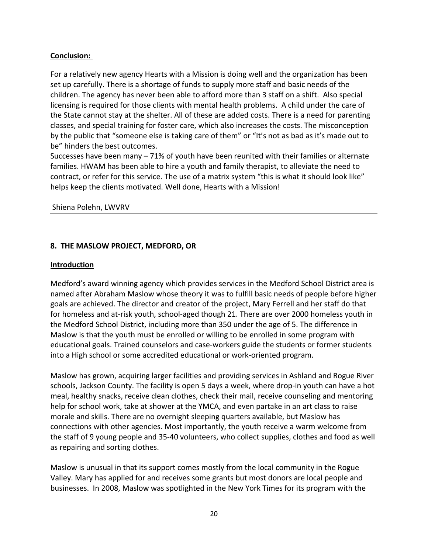# **Conclusion:**

For a relatively new agency Hearts with a Mission is doing well and the organization has been set up carefully. There is a shortage of funds to supply more staff and basic needs of the children. The agency has never been able to afford more than 3 staff on a shift. Also special licensing is required for those clients with mental health problems. A child under the care of the State cannot stay at the shelter. All of these are added costs. There is a need for parenting classes, and special training for foster care, which also increases the costs. The misconception by the public that "someone else is taking care of them" or "It's not as bad as it's made out to be" hinders the best outcomes.

Successes have been many – 71% of youth have been reunited with their families or alternate families. HWAM has been able to hire a youth and family therapist, to alleviate the need to contract, or refer for this service. The use of a matrix system "this is what it should look like" helps keep the clients motivated. Well done, Hearts with a Mission!

#### Shiena Polehn, LWVRV

### **8. THE MASLOW PROJECT, MEDFORD, OR**

#### **Introduction**

Medford's award winning agency which provides services in the Medford School District area is named after Abraham Maslow whose theory it was to fulfill basic needs of people before higher goals are achieved. The director and creator of the project, Mary Ferrell and her staff do that for homeless and at-risk youth, school-aged though 21. There are over 2000 homeless youth in the Medford School District, including more than 350 under the age of 5. The difference in Maslow is that the youth must be enrolled or willing to be enrolled in some program with educational goals. Trained counselors and case-workers guide the students or former students into a High school or some accredited educational or work-oriented program.

Maslow has grown, acquiring larger facilities and providing services in Ashland and Rogue River schools, Jackson County. The facility is open 5 days a week, where drop-in youth can have a hot meal, healthy snacks, receive clean clothes, check their mail, receive counseling and mentoring help for school work, take at shower at the YMCA, and even partake in an art class to raise morale and skills. There are no overnight sleeping quarters available, but Maslow has connections with other agencies. Most importantly, the youth receive a warm welcome from the staff of 9 young people and 35-40 volunteers, who collect supplies, clothes and food as well as repairing and sorting clothes.

Maslow is unusual in that its support comes mostly from the local community in the Rogue Valley. Mary has applied for and receives some grants but most donors are local people and businesses. In 2008, Maslow was spotlighted in the New York Times for its program with the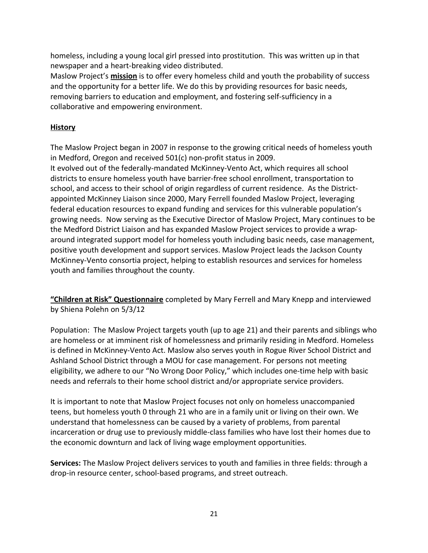homeless, including a young local girl pressed into prostitution. This was written up in that newspaper and a heart-breaking video distributed.

Maslow Project's **mission** is to offer every homeless child and youth the probability of success and the opportunity for a better life. We do this by providing resources for basic needs, removing barriers to education and employment, and fostering self-sufficiency in a collaborative and empowering environment.

# **History**

The Maslow Project began in 2007 in response to the growing critical needs of homeless youth in Medford, Oregon and received 501(c) non-profit status in 2009.

It evolved out of the federally-mandated McKinney-Vento Act, which requires all school districts to ensure homeless youth have barrier-free school enrollment, transportation to school, and access to their school of origin regardless of current residence. As the Districtappointed McKinney Liaison since 2000, Mary Ferrell founded Maslow Project, leveraging federal education resources to expand funding and services for this vulnerable population's growing needs. Now serving as the Executive Director of Maslow Project, Mary continues to be the Medford District Liaison and has expanded Maslow Project services to provide a wraparound integrated support model for homeless youth including basic needs, case management, positive youth development and support services. Maslow Project leads the Jackson County McKinney-Vento consortia project, helping to establish resources and services for homeless youth and families throughout the county.

**"Children at Risk" Questionnaire** completed by Mary Ferrell and Mary Knepp and interviewed by Shiena Polehn on 5/3/12

Population: The Maslow Project targets youth (up to age 21) and their parents and siblings who are homeless or at imminent risk of homelessness and primarily residing in Medford. Homeless is defined in McKinney-Vento Act. Maslow also serves youth in Rogue River School District and Ashland School District through a MOU for case management. For persons not meeting eligibility, we adhere to our "No Wrong Door Policy," which includes one-time help with basic needs and referrals to their home school district and/or appropriate service providers.

It is important to note that Maslow Project focuses not only on homeless unaccompanied teens, but homeless youth 0 through 21 who are in a family unit or living on their own. We understand that homelessness can be caused by a variety of problems, from parental incarceration or drug use to previously middle-class families who have lost their homes due to the economic downturn and lack of living wage employment opportunities.

**Services:** The Maslow Project delivers services to youth and families in three fields: through a drop-in resource center, school-based programs, and street outreach.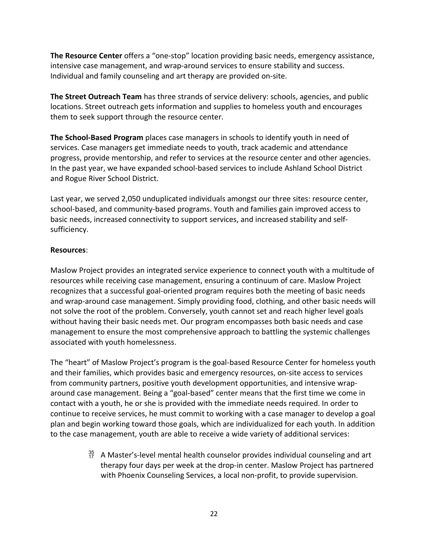**The Resource Center** offers a "one-stop" location providing basic needs, emergency assistance, intensive case management, and wrap-around services to ensure stability and success. Individual and family counseling and art therapy are provided on-site.

**The Street Outreach Team** has three strands of service delivery: schools, agencies, and public locations. Street outreach gets information and supplies to homeless youth and encourages them to seek support through the resource center.

**The School-Based Program** places case managers in schools to identify youth in need of services. Case managers get immediate needs to youth, track academic and attendance progress, provide mentorship, and refer to services at the resource center and other agencies. In the past year, we have expanded school-based services to include Ashland School District and Rogue River School District.

Last year, we served 2,050 unduplicated individuals amongst our three sites: resource center, school-based, and community-based programs. Youth and families gain improved access to basic needs, increased connectivity to support services, and increased stability and selfsufficiency.

# **Resources**:

Maslow Project provides an integrated service experience to connect youth with a multitude of resources while receiving case management, ensuring a continuum of care. Maslow Project recognizes that a successful goal-oriented program requires both the meeting of basic needs and wrap-around case management. Simply providing food, clothing, and other basic needs will not solve the root of the problem. Conversely, youth cannot set and reach higher level goals without having their basic needs met. Our program encompasses both basic needs and case management to ensure the most comprehensive approach to battling the systemic challenges associated with youth homelessness.

The "heart" of Maslow Project's program is the goal-based Resource Center for homeless youth and their families, which provides basic and emergency resources, on-site access to services from community partners, positive youth development opportunities, and intensive wraparound case management. Being a "goal-based" center means that the first time we come in contact with a youth, he or she is provided with the immediate needs required. In order to continue to receive services, he must commit to working with a case manager to develop a goal plan and begin working toward those goals, which are individualized for each youth. In addition to the case management, youth are able to receive a wide variety of additional services:

> $^{35}_{17}$  A Master's-level mental health counselor provides individual counseling and art therapy four days per week at the drop-in center. Maslow Project has partnered with Phoenix Counseling Services, a local non-profit, to provide supervision.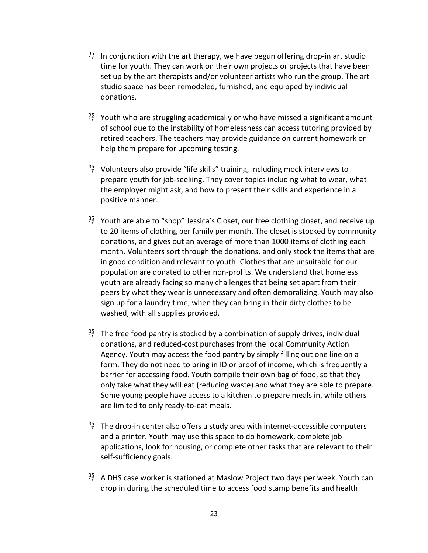- $^{35}_{17}$  In conjunction with the art therapy, we have begun offering drop-in art studio time for youth. They can work on their own projects or projects that have been set up by the art therapists and/or volunteer artists who run the group. The art studio space has been remodeled, furnished, and equipped by individual donations.
- $^{35}_{17}$  Youth who are struggling academically or who have missed a significant amount of school due to the instability of homelessness can access tutoring provided by retired teachers. The teachers may provide guidance on current homework or help them prepare for upcoming testing.
- $^{35}_{17}$  Volunteers also provide "life skills" training, including mock interviews to prepare youth for job-seeking. They cover topics including what to wear, what the employer might ask, and how to present their skills and experience in a positive manner.
- $^{35}_{17}$  Youth are able to "shop" Jessica's Closet, our free clothing closet, and receive up to 20 items of clothing per family per month. The closet is stocked by community donations, and gives out an average of more than 1000 items of clothing each month. Volunteers sort through the donations, and only stock the items that are in good condition and relevant to youth. Clothes that are unsuitable for our population are donated to other non-profits. We understand that homeless youth are already facing so many challenges that being set apart from their peers by what they wear is unnecessary and often demoralizing. Youth may also sign up for a laundry time, when they can bring in their dirty clothes to be washed, with all supplies provided.
- $^{35}_{17}$  The free food pantry is stocked by a combination of supply drives, individual donations, and reduced-cost purchases from the local Community Action Agency. Youth may access the food pantry by simply filling out one line on a form. They do not need to bring in ID or proof of income, which is frequently a barrier for accessing food. Youth compile their own bag of food, so that they only take what they will eat (reducing waste) and what they are able to prepare. Some young people have access to a kitchen to prepare meals in, while others are limited to only ready-to-eat meals.
- $^{35}_{17}$  The drop-in center also offers a study area with internet-accessible computers and a printer. Youth may use this space to do homework, complete job applications, look for housing, or complete other tasks that are relevant to their self-sufficiency goals.
- $^{35}_{17}$  A DHS case worker is stationed at Maslow Project two days per week. Youth can drop in during the scheduled time to access food stamp benefits and health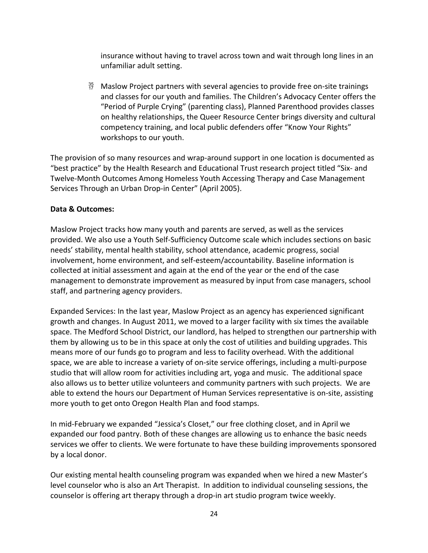insurance without having to travel across town and wait through long lines in an unfamiliar adult setting.

 $^{35}_{7}$  Maslow Project partners with several agencies to provide free on-site trainings and classes for our youth and families. The Children's Advocacy Center offers the "Period of Purple Crying" (parenting class), Planned Parenthood provides classes on healthy relationships, the Queer Resource Center brings diversity and cultural competency training, and local public defenders offer "Know Your Rights" workshops to our youth.

The provision of so many resources and wrap-around support in one location is documented as "best practice" by the Health Research and Educational Trust research project titled "Six- and Twelve-Month Outcomes Among Homeless Youth Accessing Therapy and Case Management Services Through an Urban Drop-in Center" (April 2005).

# **Data & Outcomes:**

Maslow Project tracks how many youth and parents are served, as well as the services provided. We also use a Youth Self-Sufficiency Outcome scale which includes sections on basic needs' stability, mental health stability, school attendance, academic progress, social involvement, home environment, and self-esteem/accountability. Baseline information is collected at initial assessment and again at the end of the year or the end of the case management to demonstrate improvement as measured by input from case managers, school staff, and partnering agency providers.

Expanded Services: In the last year, Maslow Project as an agency has experienced significant growth and changes. In August 2011, we moved to a larger facility with six times the available space. The Medford School District, our landlord, has helped to strengthen our partnership with them by allowing us to be in this space at only the cost of utilities and building upgrades. This means more of our funds go to program and less to facility overhead. With the additional space, we are able to increase a variety of on-site service offerings, including a multi-purpose studio that will allow room for activities including art, yoga and music. The additional space also allows us to better utilize volunteers and community partners with such projects. We are able to extend the hours our Department of Human Services representative is on-site, assisting more youth to get onto Oregon Health Plan and food stamps.

In mid-February we expanded "Jessica's Closet," our free clothing closet, and in April we expanded our food pantry. Both of these changes are allowing us to enhance the basic needs services we offer to clients. We were fortunate to have these building improvements sponsored by a local donor.

Our existing mental health counseling program was expanded when we hired a new Master's level counselor who is also an Art Therapist. In addition to individual counseling sessions, the counselor is offering art therapy through a drop-in art studio program twice weekly.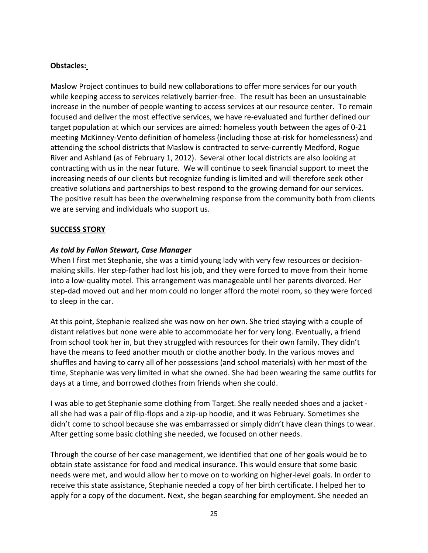### **Obstacles:**

Maslow Project continues to build new collaborations to offer more services for our youth while keeping access to services relatively barrier-free. The result has been an unsustainable increase in the number of people wanting to access services at our resource center. To remain focused and deliver the most effective services, we have re-evaluated and further defined our target population at which our services are aimed: homeless youth between the ages of 0-21 meeting McKinney-Vento definition of homeless (including those at-risk for homelessness) and attending the school districts that Maslow is contracted to serve-currently Medford, Rogue River and Ashland (as of February 1, 2012). Several other local districts are also looking at contracting with us in the near future. We will continue to seek financial support to meet the increasing needs of our clients but recognize funding is limited and will therefore seek other creative solutions and partnerships to best respond to the growing demand for our services. The positive result has been the overwhelming response from the community both from clients we are serving and individuals who support us.

#### **SUCCESS STORY**

#### *As told by Fallon Stewart, Case Manager*

When I first met Stephanie, she was a timid young lady with very few resources or decisionmaking skills. Her step-father had lost his job, and they were forced to move from their home into a low-quality motel. This arrangement was manageable until her parents divorced. Her step-dad moved out and her mom could no longer afford the motel room, so they were forced to sleep in the car.

At this point, Stephanie realized she was now on her own. She tried staying with a couple of distant relatives but none were able to accommodate her for very long. Eventually, a friend from school took her in, but they struggled with resources for their own family. They didn't have the means to feed another mouth or clothe another body. In the various moves and shuffles and having to carry all of her possessions (and school materials) with her most of the time, Stephanie was very limited in what she owned. She had been wearing the same outfits for days at a time, and borrowed clothes from friends when she could.

I was able to get Stephanie some clothing from Target. She really needed shoes and a jacket all she had was a pair of flip-flops and a zip-up hoodie, and it was February. Sometimes she didn't come to school because she was embarrassed or simply didn't have clean things to wear. After getting some basic clothing she needed, we focused on other needs.

Through the course of her case management, we identified that one of her goals would be to obtain state assistance for food and medical insurance. This would ensure that some basic needs were met, and would allow her to move on to working on higher-level goals. In order to receive this state assistance, Stephanie needed a copy of her birth certificate. I helped her to apply for a copy of the document. Next, she began searching for employment. She needed an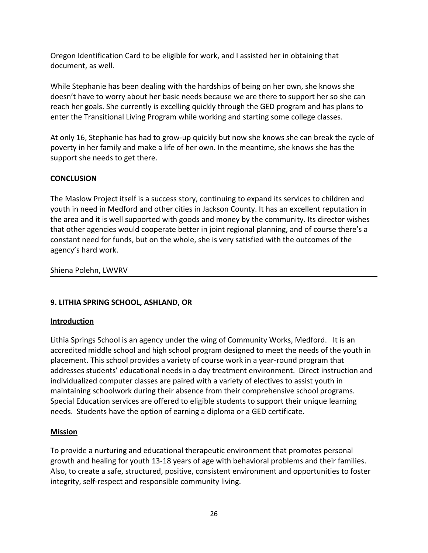Oregon Identification Card to be eligible for work, and I assisted her in obtaining that document, as well.

While Stephanie has been dealing with the hardships of being on her own, she knows she doesn't have to worry about her basic needs because we are there to support her so she can reach her goals. She currently is excelling quickly through the GED program and has plans to enter the Transitional Living Program while working and starting some college classes.

At only 16, Stephanie has had to grow-up quickly but now she knows she can break the cycle of poverty in her family and make a life of her own. In the meantime, she knows she has the support she needs to get there.

# **CONCLUSION**

The Maslow Project itself is a success story, continuing to expand its services to children and youth in need in Medford and other cities in Jackson County. It has an excellent reputation in the area and it is well supported with goods and money by the community. Its director wishes that other agencies would cooperate better in joint regional planning, and of course there's a constant need for funds, but on the whole, she is very satisfied with the outcomes of the agency's hard work.

Shiena Polehn, LWVRV

# **9. LITHIA SPRING SCHOOL, ASHLAND, OR**

# **Introduction**

Lithia Springs School is an agency under the wing of Community Works, Medford. It is an accredited middle school and high school program designed to meet the needs of the youth in placement. This school provides a variety of course work in a year-round program that addresses students' educational needs in a day treatment environment. Direct instruction and individualized computer classes are paired with a variety of electives to assist youth in maintaining schoolwork during their absence from their comprehensive school programs. Special Education services are offered to eligible students to support their unique learning needs. Students have the option of earning a diploma or a GED certificate.

# **Mission**

To provide a nurturing and educational therapeutic environment that promotes personal growth and healing for youth 13-18 years of age with behavioral problems and their families. Also, to create a safe, structured, positive, consistent environment and opportunities to foster integrity, self-respect and responsible community living.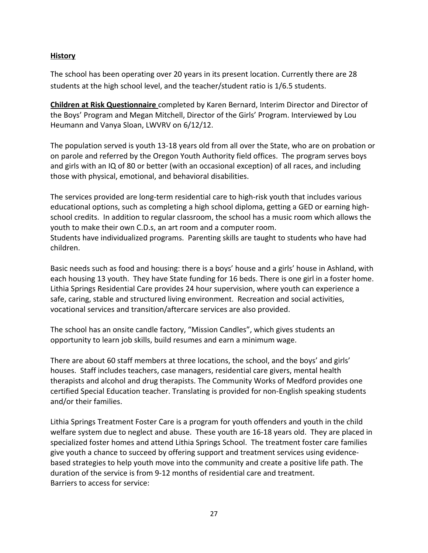### **History**

The school has been operating over 20 years in its present location. Currently there are 28 students at the high school level, and the teacher/student ratio is 1/6.5 students.

**Children at Risk Questionnaire** completed by Karen Bernard, Interim Director and Director of the Boys' Program and Megan Mitchell, Director of the Girls' Program. Interviewed by Lou Heumann and Vanya Sloan, LWVRV on 6/12/12.

The population served is youth 13-18 years old from all over the State, who are on probation or on parole and referred by the Oregon Youth Authority field offices. The program serves boys and girls with an IQ of 80 or better (with an occasional exception) of all races, and including those with physical, emotional, and behavioral disabilities.

The services provided are long-term residential care to high-risk youth that includes various educational options, such as completing a high school diploma, getting a GED or earning highschool credits. In addition to regular classroom, the school has a music room which allows the youth to make their own C.D.s, an art room and a computer room. Students have individualized programs. Parenting skills are taught to students who have had children.

Basic needs such as food and housing: there is a boys' house and a girls' house in Ashland, with each housing 13 youth. They have State funding for 16 beds. There is one girl in a foster home. Lithia Springs Residential Care provides 24 hour supervision, where youth can experience a safe, caring, stable and structured living environment. Recreation and social activities, vocational services and transition/aftercare services are also provided.

The school has an onsite candle factory, "Mission Candles", which gives students an opportunity to learn job skills, build resumes and earn a minimum wage.

There are about 60 staff members at three locations, the school, and the boys' and girls' houses. Staff includes teachers, case managers, residential care givers, mental health therapists and alcohol and drug therapists. The Community Works of Medford provides one certified Special Education teacher. Translating is provided for non-English speaking students and/or their families.

Lithia Springs Treatment Foster Care is a program for youth offenders and youth in the child welfare system due to neglect and abuse. These youth are 16-18 years old. They are placed in specialized foster homes and attend Lithia Springs School. The treatment foster care families give youth a chance to succeed by offering support and treatment services using evidencebased strategies to help youth move into the community and create a positive life path. The duration of the service is from 9-12 months of residential care and treatment. Barriers to access for service: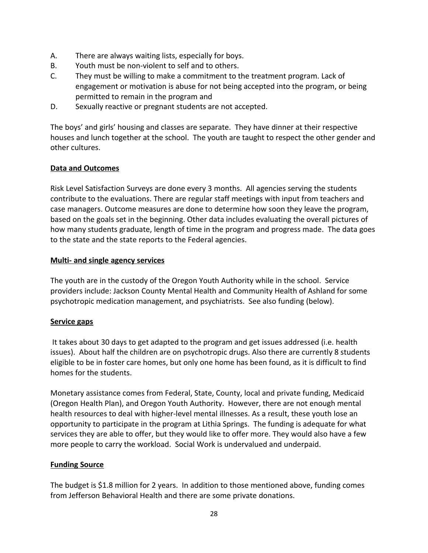- A. There are always waiting lists, especially for boys.
- B. Youth must be non-violent to self and to others.
- C. They must be willing to make a commitment to the treatment program. Lack of engagement or motivation is abuse for not being accepted into the program, or being permitted to remain in the program and
- D. Sexually reactive or pregnant students are not accepted.

The boys' and girls' housing and classes are separate. They have dinner at their respective houses and lunch together at the school. The youth are taught to respect the other gender and other cultures.

# **Data and Outcomes**

Risk Level Satisfaction Surveys are done every 3 months. All agencies serving the students contribute to the evaluations. There are regular staff meetings with input from teachers and case managers. Outcome measures are done to determine how soon they leave the program, based on the goals set in the beginning. Other data includes evaluating the overall pictures of how many students graduate, length of time in the program and progress made. The data goes to the state and the state reports to the Federal agencies.

### **Multi- and single agency services**

The youth are in the custody of the Oregon Youth Authority while in the school. Service providers include: Jackson County Mental Health and Community Health of Ashland for some psychotropic medication management, and psychiatrists. See also funding (below).

# **Service gaps**

 It takes about 30 days to get adapted to the program and get issues addressed (i.e. health issues). About half the children are on psychotropic drugs. Also there are currently 8 students eligible to be in foster care homes, but only one home has been found, as it is difficult to find homes for the students.

Monetary assistance comes from Federal, State, County, local and private funding, Medicaid (Oregon Health Plan), and Oregon Youth Authority. However, there are not enough mental health resources to deal with higher-level mental illnesses. As a result, these youth lose an opportunity to participate in the program at Lithia Springs. The funding is adequate for what services they are able to offer, but they would like to offer more. They would also have a few more people to carry the workload. Social Work is undervalued and underpaid.

# **Funding Source**

The budget is \$1.8 million for 2 years. In addition to those mentioned above, funding comes from Jefferson Behavioral Health and there are some private donations.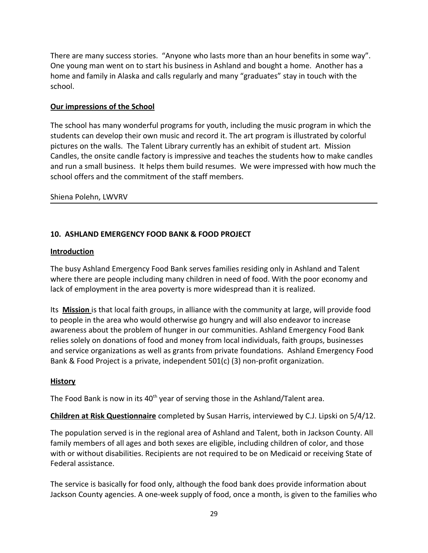There are many success stories. "Anyone who lasts more than an hour benefits in some way". One young man went on to start his business in Ashland and bought a home. Another has a home and family in Alaska and calls regularly and many "graduates" stay in touch with the school.

### **Our impressions of the School**

The school has many wonderful programs for youth, including the music program in which the students can develop their own music and record it. The art program is illustrated by colorful pictures on the walls. The Talent Library currently has an exhibit of student art. Mission Candles, the onsite candle factory is impressive and teaches the students how to make candles and run a small business. It helps them build resumes. We were impressed with how much the school offers and the commitment of the staff members.

#### Shiena Polehn, LWVRV

# **10. ASHLAND EMERGENCY FOOD BANK & FOOD PROJECT**

#### **Introduction**

The busy Ashland Emergency Food Bank serves families residing only in Ashland and Talent where there are people including many children in need of food. With the poor economy and lack of employment in the area poverty is more widespread than it is realized.

Its **Mission** is that local faith groups, in alliance with the community at large, will provide food to people in the area who would otherwise go hungry and will also endeavor to increase awareness about the problem of hunger in our communities. Ashland Emergency Food Bank relies solely on donations of food and money from local individuals, faith groups, businesses and service organizations as well as grants from private foundations. Ashland Emergency Food Bank & Food Project is a private, independent 501(c) (3) non-profit organization.

#### **History**

The Food Bank is now in its  $40<sup>th</sup>$  year of serving those in the Ashland/Talent area.

**Children at Risk Questionnaire** completed by Susan Harris, interviewed by C.J. Lipski on 5/4/12.

The population served is in the regional area of Ashland and Talent, both in Jackson County. All family members of all ages and both sexes are eligible, including children of color, and those with or without disabilities. Recipients are not required to be on Medicaid or receiving State of Federal assistance.

The service is basically for food only, although the food bank does provide information about Jackson County agencies. A one-week supply of food, once a month, is given to the families who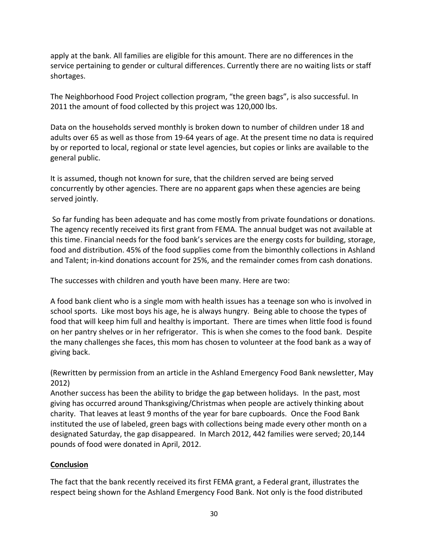apply at the bank. All families are eligible for this amount. There are no differences in the service pertaining to gender or cultural differences. Currently there are no waiting lists or staff shortages.

The Neighborhood Food Project collection program, "the green bags", is also successful. In 2011 the amount of food collected by this project was 120,000 lbs.

Data on the households served monthly is broken down to number of children under 18 and adults over 65 as well as those from 19-64 years of age. At the present time no data is required by or reported to local, regional or state level agencies, but copies or links are available to the general public.

It is assumed, though not known for sure, that the children served are being served concurrently by other agencies. There are no apparent gaps when these agencies are being served jointly.

So far funding has been adequate and has come mostly from private foundations or donations. The agency recently received its first grant from FEMA. The annual budget was not available at this time. Financial needs for the food bank's services are the energy costs for building, storage, food and distribution. 45% of the food supplies come from the bimonthly collections in Ashland and Talent; in-kind donations account for 25%, and the remainder comes from cash donations.

The successes with children and youth have been many. Here are two:

A food bank client who is a single mom with health issues has a teenage son who is involved in school sports. Like most boys his age, he is always hungry. Being able to choose the types of food that will keep him full and healthy is important. There are times when little food is found on her pantry shelves or in her refrigerator. This is when she comes to the food bank. Despite the many challenges she faces, this mom has chosen to volunteer at the food bank as a way of giving back.

(Rewritten by permission from an article in the Ashland Emergency Food Bank newsletter, May 2012)

Another success has been the ability to bridge the gap between holidays. In the past, most giving has occurred around Thanksgiving/Christmas when people are actively thinking about charity. That leaves at least 9 months of the year for bare cupboards. Once the Food Bank instituted the use of labeled, green bags with collections being made every other month on a designated Saturday, the gap disappeared. In March 2012, 442 families were served; 20,144 pounds of food were donated in April, 2012.

# **Conclusion**

The fact that the bank recently received its first FEMA grant, a Federal grant, illustrates the respect being shown for the Ashland Emergency Food Bank. Not only is the food distributed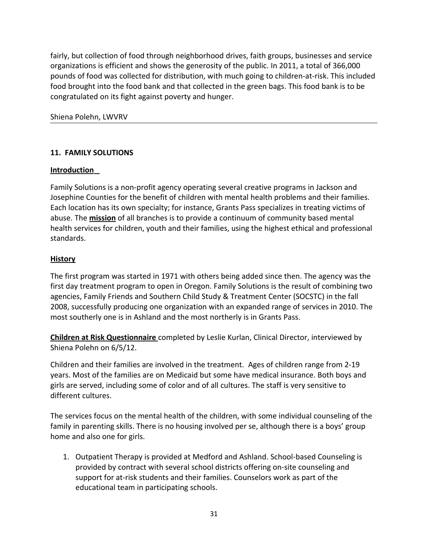fairly, but collection of food through neighborhood drives, faith groups, businesses and service organizations is efficient and shows the generosity of the public. In 2011, a total of 366,000 pounds of food was collected for distribution, with much going to children-at-risk. This included food brought into the food bank and that collected in the green bags. This food bank is to be congratulated on its fight against poverty and hunger.

### Shiena Polehn, LWVRV

### **11. FAMILY SOLUTIONS**

#### **Introduction**

Family Solutions is a non-profit agency operating several creative programs in Jackson and Josephine Counties for the benefit of children with mental health problems and their families. Each location has its own specialty; for instance, Grants Pass specializes in treating victims of abuse. The **mission** of all branches is to provide a continuum of community based mental health services for children, youth and their families, using the highest ethical and professional standards.

#### **History**

The first program was started in 1971 with others being added since then. The agency was the first day treatment program to open in Oregon. Family Solutions is the result of combining two agencies, Family Friends and Southern Child Study & Treatment Center (SOCSTC) in the fall 2008, successfully producing one organization with an expanded range of services in 2010. The most southerly one is in Ashland and the most northerly is in Grants Pass.

 **Children at Risk Questionnaire** completed by Leslie Kurlan, Clinical Director, interviewed by Shiena Polehn on 6/5/12.

Children and their families are involved in the treatment. Ages of children range from 2-19 years. Most of the families are on Medicaid but some have medical insurance. Both boys and girls are served, including some of color and of all cultures. The staff is very sensitive to different cultures.

The services focus on the mental health of the children, with some individual counseling of the family in parenting skills. There is no housing involved per se, although there is a boys' group home and also one for girls.

1. Outpatient Therapy is provided at Medford and Ashland. School-based Counseling is provided by contract with several school districts offering on-site counseling and support for at-risk students and their families. Counselors work as part of the educational team in participating schools.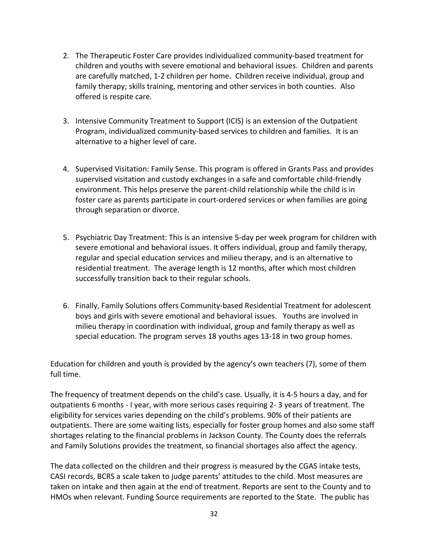- 2. The Therapeutic Foster Care provides individualized community-based treatment for children and youths with severe emotional and behavioral issues. Children and parents are carefully matched, 1-2 children per home. Children receive individual, group and family therapy; skills training, mentoring and other services in both counties. Also offered is respite care.
- 3. Intensive Community Treatment to Support (ICIS) is an extension of the Outpatient Program, individualized community-based services to children and families. It is an alternative to a higher level of care.
- 4. Supervised Visitation: Family Sense. This program is offered in Grants Pass and provides supervised visitation and custody exchanges in a safe and comfortable child-friendly environment. This helps preserve the parent-child relationship while the child is in foster care as parents participate in court-ordered services or when families are going through separation or divorce.
- 5. Psychiatric Day Treatment: This is an intensive 5-day per week program for children with severe emotional and behavioral issues. It offers individual, group and family therapy, regular and special education services and milieu therapy, and is an alternative to residential treatment. The average length is 12 months, after which most children successfully transition back to their regular schools.
- 6. Finally, Family Solutions offers Community-based Residential Treatment for adolescent boys and girls with severe emotional and behavioral issues. Youths are involved in milieu therapy in coordination with individual, group and family therapy as well as special education. The program serves 18 youths ages 13-18 in two group homes.

Education for children and youth is provided by the agency's own teachers (7), some of them full time.

The frequency of treatment depends on the child's case. Usually, it is 4-5 hours a day, and for outpatients 6 months - I year, with more serious cases requiring 2- 3 years of treatment. The eligibility for services varies depending on the child's problems. 90% of their patients are outpatients. There are some waiting lists, especially for foster group homes and also some staff shortages relating to the financial problems in Jackson County. The County does the referrals and Family Solutions provides the treatment, so financial shortages also affect the agency.

The data collected on the children and their progress is measured by the CGAS intake tests, CASI records, BCRS a scale taken to judge parents' attitudes to the child. Most measures are taken on intake and then again at the end of treatment. Reports are sent to the County and to HMOs when relevant. Funding Source requirements are reported to the State. The public has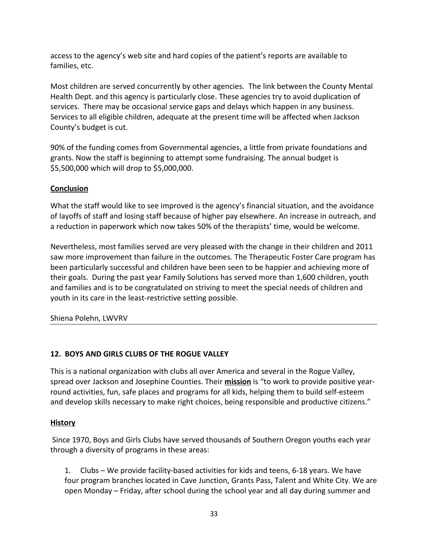access to the agency's web site and hard copies of the patient's reports are available to families, etc.

Most children are served concurrently by other agencies. The link between the County Mental Health Dept. and this agency is particularly close. These agencies try to avoid duplication of services. There may be occasional service gaps and delays which happen in any business. Services to all eligible children, adequate at the present time will be affected when Jackson County's budget is cut.

90% of the funding comes from Governmental agencies, a little from private foundations and grants. Now the staff is beginning to attempt some fundraising. The annual budget is \$5,500,000 which will drop to \$5,000,000.

# **Conclusion**

What the staff would like to see improved is the agency's financial situation, and the avoidance of layoffs of staff and losing staff because of higher pay elsewhere. An increase in outreach, and a reduction in paperwork which now takes 50% of the therapists' time, would be welcome.

Nevertheless, most families served are very pleased with the change in their children and 2011 saw more improvement than failure in the outcomes. The Therapeutic Foster Care program has been particularly successful and children have been seen to be happier and achieving more of their goals. During the past year Family Solutions has served more than 1,600 children, youth and families and is to be congratulated on striving to meet the special needs of children and youth in its care in the least-restrictive setting possible.

Shiena Polehn, LWVRV

# **12. BOYS AND GIRLS CLUBS OF THE ROGUE VALLEY**

This is a national organization with clubs all over America and several in the Rogue Valley, spread over Jackson and Josephine Counties. Their **mission** is "to work to provide positive yearround activities, fun, safe places and programs for all kids, helping them to build self-esteem and develop skills necessary to make right choices, being responsible and productive citizens."

# **History**

 Since 1970, Boys and Girls Clubs have served thousands of Southern Oregon youths each year through a diversity of programs in these areas:

1. Clubs – We provide facility-based activities for kids and teens, 6-18 years. We have four program branches located in Cave Junction, Grants Pass, Talent and White City. We are open Monday – Friday, after school during the school year and all day during summer and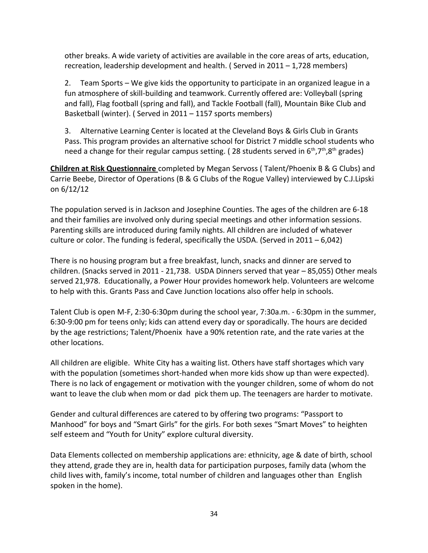other breaks. A wide variety of activities are available in the core areas of arts, education, recreation, leadership development and health. ( Served in 2011 – 1,728 members)

2. Team Sports – We give kids the opportunity to participate in an organized league in a fun atmosphere of skill-building and teamwork. Currently offered are: Volleyball (spring and fall), Flag football (spring and fall), and Tackle Football (fall), Mountain Bike Club and Basketball (winter). ( Served in 2011 – 1157 sports members)

3. Alternative Learning Center is located at the Cleveland Boys & Girls Club in Grants Pass. This program provides an alternative school for District 7 middle school students who need a change for their regular campus setting. (28 students served in  $6<sup>th</sup>,7<sup>th</sup>,8<sup>th</sup>$  grades)

 **Children at Risk Questionnaire** completed by Megan Servoss ( Talent/Phoenix B & G Clubs) and Carrie Beebe, Director of Operations (B & G Clubs of the Rogue Valley) interviewed by C.J.Lipski on 6/12/12

The population served is in Jackson and Josephine Counties. The ages of the children are 6-18 and their families are involved only during special meetings and other information sessions. Parenting skills are introduced during family nights. All children are included of whatever culture or color. The funding is federal, specifically the USDA. (Served in  $2011 - 6,042$ )

There is no housing program but a free breakfast, lunch, snacks and dinner are served to children. (Snacks served in 2011 - 21,738. USDA Dinners served that year – 85,055) Other meals served 21,978. Educationally, a Power Hour provides homework help. Volunteers are welcome to help with this. Grants Pass and Cave Junction locations also offer help in schools.

Talent Club is open M-F, 2:30-6:30pm during the school year, 7:30a.m. - 6:30pm in the summer, 6:30-9:00 pm for teens only; kids can attend every day or sporadically. The hours are decided by the age restrictions; Talent/Phoenix have a 90% retention rate, and the rate varies at the other locations.

All children are eligible. White City has a waiting list. Others have staff shortages which vary with the population (sometimes short-handed when more kids show up than were expected). There is no lack of engagement or motivation with the younger children, some of whom do not want to leave the club when mom or dad pick them up. The teenagers are harder to motivate.

Gender and cultural differences are catered to by offering two programs: "Passport to Manhood" for boys and "Smart Girls" for the girls. For both sexes "Smart Moves" to heighten self esteem and "Youth for Unity" explore cultural diversity.

Data Elements collected on membership applications are: ethnicity, age & date of birth, school they attend, grade they are in, health data for participation purposes, family data (whom the child lives with, family's income, total number of children and languages other than English spoken in the home).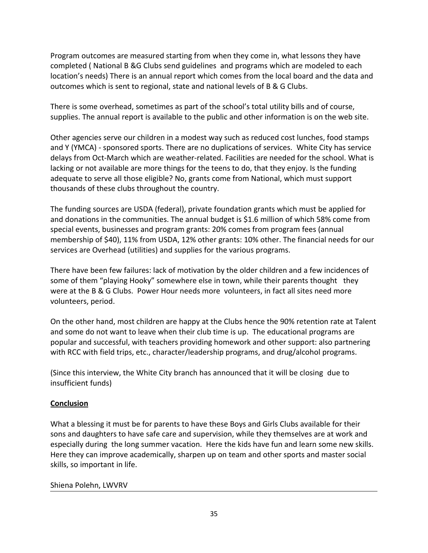Program outcomes are measured starting from when they come in, what lessons they have completed ( National B &G Clubs send guidelines and programs which are modeled to each location's needs) There is an annual report which comes from the local board and the data and outcomes which is sent to regional, state and national levels of B & G Clubs.

There is some overhead, sometimes as part of the school's total utility bills and of course, supplies. The annual report is available to the public and other information is on the web site.

Other agencies serve our children in a modest way such as reduced cost lunches, food stamps and Y (YMCA) - sponsored sports. There are no duplications of services. White City has service delays from Oct-March which are weather-related. Facilities are needed for the school. What is lacking or not available are more things for the teens to do, that they enjoy. Is the funding adequate to serve all those eligible? No, grants come from National, which must support thousands of these clubs throughout the country.

The funding sources are USDA (federal), private foundation grants which must be applied for and donations in the communities. The annual budget is \$1.6 million of which 58% come from special events, businesses and program grants: 20% comes from program fees (annual membership of \$40), 11% from USDA, 12% other grants: 10% other. The financial needs for our services are Overhead (utilities) and supplies for the various programs.

There have been few failures: lack of motivation by the older children and a few incidences of some of them "playing Hooky" somewhere else in town, while their parents thought they were at the B & G Clubs. Power Hour needs more volunteers, in fact all sites need more volunteers, period.

On the other hand, most children are happy at the Clubs hence the 90% retention rate at Talent and some do not want to leave when their club time is up. The educational programs are popular and successful, with teachers providing homework and other support: also partnering with RCC with field trips, etc., character/leadership programs, and drug/alcohol programs.

(Since this interview, the White City branch has announced that it will be closing due to insufficient funds)

# **Conclusion**

What a blessing it must be for parents to have these Boys and Girls Clubs available for their sons and daughters to have safe care and supervision, while they themselves are at work and especially during the long summer vacation. Here the kids have fun and learn some new skills. Here they can improve academically, sharpen up on team and other sports and master social skills, so important in life.

# Shiena Polehn, LWVRV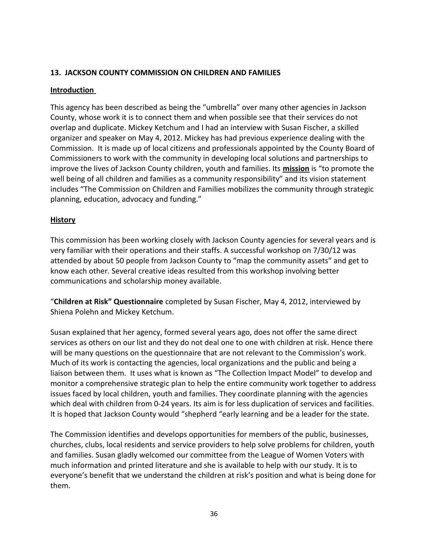# **13. JACKSON COUNTY COMMISSION ON CHILDREN AND FAMILIES**

# **Introduction**

This agency has been described as being the "umbrella" over many other agencies in Jackson County, whose work it is to connect them and when possible see that their services do not overlap and duplicate. Mickey Ketchum and I had an interview with Susan Fischer, a skilled organizer and speaker on May 4, 2012. Mickey has had previous experience dealing with the Commission. It is made up of local citizens and professionals appointed by the County Board of Commissioners to work with the community in developing local solutions and partnerships to improve the lives of Jackson County children, youth and families. Its **mission** is "to promote the well being of all children and families as a community responsibility" and its vision statement includes "The Commission on Children and Families mobilizes the community through strategic planning, education, advocacy and funding."

# **History**

This commission has been working closely with Jackson County agencies for several years and is very familiar with their operations and their staffs. A successful workshop on 7/30/12 was attended by about 50 people from Jackson County to "map the community assets" and get to know each other. Several creative ideas resulted from this workshop involving better communications and scholarship money available.

"**Children at Risk" Questionnaire** completed by Susan Fischer, May 4, 2012, interviewed by Shiena Polehn and Mickey Ketchum.

Susan explained that her agency, formed several years ago, does not offer the same direct services as others on our list and they do not deal one to one with children at risk. Hence there will be many questions on the questionnaire that are not relevant to the Commission's work. Much of its work is contacting the agencies, local organizations and the public and being a liaison between them. It uses what is known as "The Collection Impact Model" to develop and monitor a comprehensive strategic plan to help the entire community work together to address issues faced by local children, youth and families. They coordinate planning with the agencies which deal with children from 0-24 years. Its aim is for less duplication of services and facilities. It is hoped that Jackson County would "shepherd "early learning and be a leader for the state.

The Commission identifies and develops opportunities for members of the public, businesses, churches, clubs, local residents and service providers to help solve problems for children, youth and families. Susan gladly welcomed our committee from the League of Women Voters with much information and printed literature and she is available to help with our study. It is to everyone's benefit that we understand the children at risk's position and what is being done for them.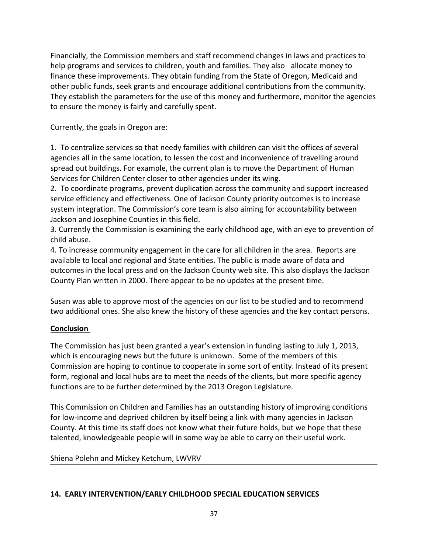Financially, the Commission members and staff recommend changes in laws and practices to help programs and services to children, youth and families. They also allocate money to finance these improvements. They obtain funding from the State of Oregon, Medicaid and other public funds, seek grants and encourage additional contributions from the community. They establish the parameters for the use of this money and furthermore, monitor the agencies to ensure the money is fairly and carefully spent.

Currently, the goals in Oregon are:

1. To centralize services so that needy families with children can visit the offices of several agencies all in the same location, to lessen the cost and inconvenience of travelling around spread out buildings. For example, the current plan is to move the Department of Human Services for Children Center closer to other agencies under its wing.

2. To coordinate programs, prevent duplication across the community and support increased service efficiency and effectiveness. One of Jackson County priority outcomes is to increase system integration. The Commission's core team is also aiming for accountability between Jackson and Josephine Counties in this field.

3. Currently the Commission is examining the early childhood age, with an eye to prevention of child abuse.

4. To increase community engagement in the care for all children in the area. Reports are available to local and regional and State entities. The public is made aware of data and outcomes in the local press and on the Jackson County web site. This also displays the Jackson County Plan written in 2000. There appear to be no updates at the present time.

Susan was able to approve most of the agencies on our list to be studied and to recommend two additional ones. She also knew the history of these agencies and the key contact persons.

# **Conclusion**

The Commission has just been granted a year's extension in funding lasting to July 1, 2013, which is encouraging news but the future is unknown. Some of the members of this Commission are hoping to continue to cooperate in some sort of entity. Instead of its present form, regional and local hubs are to meet the needs of the clients, but more specific agency functions are to be further determined by the 2013 Oregon Legislature.

This Commission on Children and Families has an outstanding history of improving conditions for low-income and deprived children by itself being a link with many agencies in Jackson County. At this time its staff does not know what their future holds, but we hope that these talented, knowledgeable people will in some way be able to carry on their useful work.

Shiena Polehn and Mickey Ketchum, LWVRV

#### **14. EARLY INTERVENTION/EARLY CHILDHOOD SPECIAL EDUCATION SERVICES**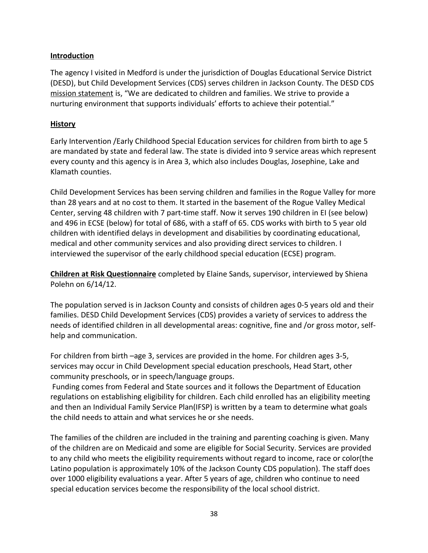# **Introduction**

The agency I visited in Medford is under the jurisdiction of Douglas Educational Service District (DESD), but Child Development Services (CDS) serves children in Jackson County. The DESD CDS mission statement is, "We are dedicated to children and families. We strive to provide a nurturing environment that supports individuals' efforts to achieve their potential."

### **History**

Early Intervention /Early Childhood Special Education services for children from birth to age 5 are mandated by state and federal law. The state is divided into 9 service areas which represent every county and this agency is in Area 3, which also includes Douglas, Josephine, Lake and Klamath counties.

Child Development Services has been serving children and families in the Rogue Valley for more than 28 years and at no cost to them. It started in the basement of the Rogue Valley Medical Center, serving 48 children with 7 part-time staff. Now it serves 190 children in EI (see below) and 496 in ECSE (below) for total of 686, with a staff of 65. CDS works with birth to 5 year old children with identified delays in development and disabilities by coordinating educational, medical and other community services and also providing direct services to children. I interviewed the supervisor of the early childhood special education (ECSE) program.

**Children at Risk Questionnaire** completed by Elaine Sands, supervisor, interviewed by Shiena Polehn on 6/14/12.

The population served is in Jackson County and consists of children ages 0-5 years old and their families. DESD Child Development Services (CDS) provides a variety of services to address the needs of identified children in all developmental areas: cognitive, fine and /or gross motor, selfhelp and communication.

For children from birth –age 3, services are provided in the home. For children ages 3-5, services may occur in Child Development special education preschools, Head Start, other community preschools, or in speech/language groups.

Funding comes from Federal and State sources and it follows the Department of Education regulations on establishing eligibility for children. Each child enrolled has an eligibility meeting and then an Individual Family Service Plan(IFSP) is written by a team to determine what goals the child needs to attain and what services he or she needs.

The families of the children are included in the training and parenting coaching is given. Many of the children are on Medicaid and some are eligible for Social Security. Services are provided to any child who meets the eligibility requirements without regard to income, race or color(the Latino population is approximately 10% of the Jackson County CDS population). The staff does over 1000 eligibility evaluations a year. After 5 years of age, children who continue to need special education services become the responsibility of the local school district.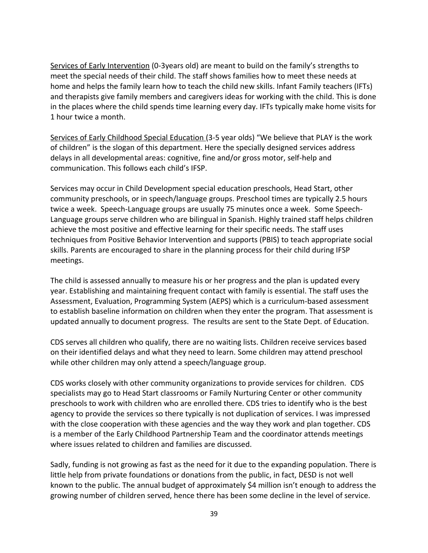Services of Early Intervention (0-3years old) are meant to build on the family's strengths to meet the special needs of their child. The staff shows families how to meet these needs at home and helps the family learn how to teach the child new skills. Infant Family teachers (IFTs) and therapists give family members and caregivers ideas for working with the child. This is done in the places where the child spends time learning every day. IFTs typically make home visits for 1 hour twice a month.

Services of Early Childhood Special Education (3-5 year olds) "We believe that PLAY is the work of children" is the slogan of this department. Here the specially designed services address delays in all developmental areas: cognitive, fine and/or gross motor, self-help and communication. This follows each child's IFSP.

Services may occur in Child Development special education preschools, Head Start, other community preschools, or in speech/language groups. Preschool times are typically 2.5 hours twice a week. Speech-Language groups are usually 75 minutes once a week. Some Speech-Language groups serve children who are bilingual in Spanish. Highly trained staff helps children achieve the most positive and effective learning for their specific needs. The staff uses techniques from Positive Behavior Intervention and supports (PBIS) to teach appropriate social skills. Parents are encouraged to share in the planning process for their child during IFSP meetings.

The child is assessed annually to measure his or her progress and the plan is updated every year. Establishing and maintaining frequent contact with family is essential. The staff uses the Assessment, Evaluation, Programming System (AEPS) which is a curriculum-based assessment to establish baseline information on children when they enter the program. That assessment is updated annually to document progress. The results are sent to the State Dept. of Education.

CDS serves all children who qualify, there are no waiting lists. Children receive services based on their identified delays and what they need to learn. Some children may attend preschool while other children may only attend a speech/language group.

CDS works closely with other community organizations to provide services for children. CDS specialists may go to Head Start classrooms or Family Nurturing Center or other community preschools to work with children who are enrolled there. CDS tries to identify who is the best agency to provide the services so there typically is not duplication of services. I was impressed with the close cooperation with these agencies and the way they work and plan together. CDS is a member of the Early Childhood Partnership Team and the coordinator attends meetings where issues related to children and families are discussed.

Sadly, funding is not growing as fast as the need for it due to the expanding population. There is little help from private foundations or donations from the public, in fact, DESD is not well known to the public. The annual budget of approximately \$4 million isn't enough to address the growing number of children served, hence there has been some decline in the level of service.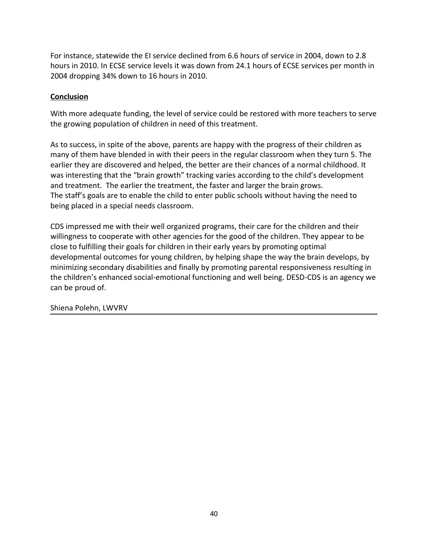For instance, statewide the EI service declined from 6.6 hours of service in 2004, down to 2.8 hours in 2010. In ECSE service levels it was down from 24.1 hours of ECSE services per month in 2004 dropping 34% down to 16 hours in 2010.

# **Conclusion**

With more adequate funding, the level of service could be restored with more teachers to serve the growing population of children in need of this treatment.

As to success, in spite of the above, parents are happy with the progress of their children as many of them have blended in with their peers in the regular classroom when they turn 5. The earlier they are discovered and helped, the better are their chances of a normal childhood. It was interesting that the "brain growth" tracking varies according to the child's development and treatment. The earlier the treatment, the faster and larger the brain grows. The staff's goals are to enable the child to enter public schools without having the need to being placed in a special needs classroom.

CDS impressed me with their well organized programs, their care for the children and their willingness to cooperate with other agencies for the good of the children. They appear to be close to fulfilling their goals for children in their early years by promoting optimal developmental outcomes for young children, by helping shape the way the brain develops, by minimizing secondary disabilities and finally by promoting parental responsiveness resulting in the children's enhanced social-emotional functioning and well being. DESD-CDS is an agency we can be proud of.

Shiena Polehn, LWVRV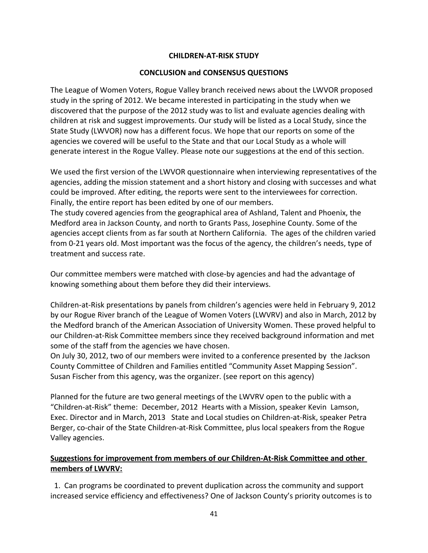### **CHILDREN-AT-RISK STUDY**

### **CONCLUSION and CONSENSUS QUESTIONS**

The League of Women Voters, Rogue Valley branch received news about the LWVOR proposed study in the spring of 2012. We became interested in participating in the study when we discovered that the purpose of the 2012 study was to list and evaluate agencies dealing with children at risk and suggest improvements. Our study will be listed as a Local Study, since the State Study (LWVOR) now has a different focus. We hope that our reports on some of the agencies we covered will be useful to the State and that our Local Study as a whole will generate interest in the Rogue Valley. Please note our suggestions at the end of this section.

We used the first version of the LWVOR questionnaire when interviewing representatives of the agencies, adding the mission statement and a short history and closing with successes and what could be improved. After editing, the reports were sent to the interviewees for correction. Finally, the entire report has been edited by one of our members.

The study covered agencies from the geographical area of Ashland, Talent and Phoenix, the Medford area in Jackson County, and north to Grants Pass, Josephine County. Some of the agencies accept clients from as far south at Northern California. The ages of the children varied from 0-21 years old. Most important was the focus of the agency, the children's needs, type of treatment and success rate.

Our committee members were matched with close-by agencies and had the advantage of knowing something about them before they did their interviews.

Children-at-Risk presentations by panels from children's agencies were held in February 9, 2012 by our Rogue River branch of the League of Women Voters (LWVRV) and also in March, 2012 by the Medford branch of the American Association of University Women. These proved helpful to our Children-at-Risk Committee members since they received background information and met some of the staff from the agencies we have chosen.

On July 30, 2012, two of our members were invited to a conference presented by the Jackson County Committee of Children and Families entitled "Community Asset Mapping Session". Susan Fischer from this agency, was the organizer. (see report on this agency)

Planned for the future are two general meetings of the LWVRV open to the public with a "Children-at-Risk" theme: December, 2012 Hearts with a Mission, speaker Kevin Lamson, Exec. Director and in March, 2013 State and Local studies on Children-at-Risk, speaker Petra Berger, co-chair of the State Children-at-Risk Committee, plus local speakers from the Rogue Valley agencies.

# **Suggestions for improvement from members of our Children-At-Risk Committee and other members of LWVRV:**

 1. Can programs be coordinated to prevent duplication across the community and support increased service efficiency and effectiveness? One of Jackson County's priority outcomes is to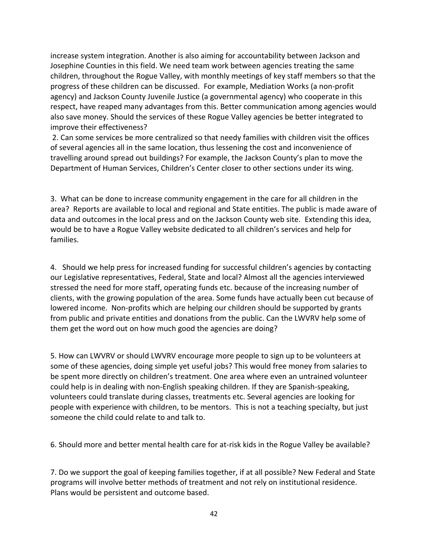increase system integration. Another is also aiming for accountability between Jackson and Josephine Counties in this field. We need team work between agencies treating the same children, throughout the Rogue Valley, with monthly meetings of key staff members so that the progress of these children can be discussed. For example, Mediation Works (a non-profit agency) and Jackson County Juvenile Justice (a governmental agency) who cooperate in this respect, have reaped many advantages from this. Better communication among agencies would also save money. Should the services of these Rogue Valley agencies be better integrated to improve their effectiveness?

2. Can some services be more centralized so that needy families with children visit the offices of several agencies all in the same location, thus lessening the cost and inconvenience of travelling around spread out buildings? For example, the Jackson County's plan to move the Department of Human Services, Children's Center closer to other sections under its wing.

3. What can be done to increase community engagement in the care for all children in the area? Reports are available to local and regional and State entities. The public is made aware of data and outcomes in the local press and on the Jackson County web site. Extending this idea, would be to have a Rogue Valley website dedicated to all children's services and help for families.

4. Should we help press for increased funding for successful children's agencies by contacting our Legislative representatives, Federal, State and local? Almost all the agencies interviewed stressed the need for more staff, operating funds etc. because of the increasing number of clients, with the growing population of the area. Some funds have actually been cut because of lowered income. Non-profits which are helping our children should be supported by grants from public and private entities and donations from the public. Can the LWVRV help some of them get the word out on how much good the agencies are doing?

5. How can LWVRV or should LWVRV encourage more people to sign up to be volunteers at some of these agencies, doing simple yet useful jobs? This would free money from salaries to be spent more directly on children's treatment. One area where even an untrained volunteer could help is in dealing with non-English speaking children. If they are Spanish-speaking, volunteers could translate during classes, treatments etc. Several agencies are looking for people with experience with children, to be mentors. This is not a teaching specialty, but just someone the child could relate to and talk to.

6. Should more and better mental health care for at-risk kids in the Rogue Valley be available?

7. Do we support the goal of keeping families together, if at all possible? New Federal and State programs will involve better methods of treatment and not rely on institutional residence. Plans would be persistent and outcome based.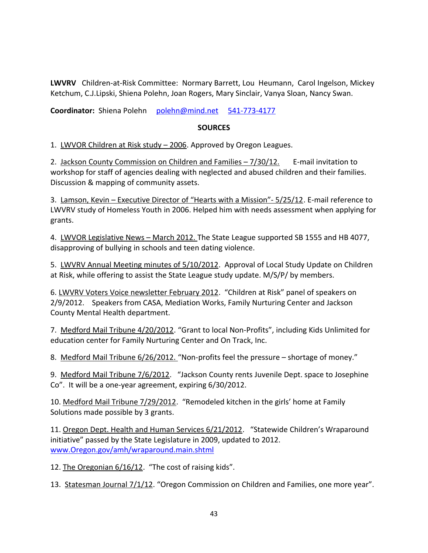**LWVRV** Children-at-Risk Committee: Normary Barrett, Lou Heumann, Carol Ingelson, Mickey Ketchum, C.J.Lipski, Shiena Polehn, Joan Rogers, Mary Sinclair, Vanya Sloan, Nancy Swan.

**Coordinator:** Shiena Polehn [polehn@mind.net](mailto:polehn@mind.net) [541-773-4177](tel:541-773-4177)

#### **SOURCES**

1. LWVOR Children at Risk study - 2006. Approved by Oregon Leagues.

2. Jackson County Commission on Children and Families – 7/30/12. E-mail invitation to workshop for staff of agencies dealing with neglected and abused children and their families. Discussion & mapping of community assets.

3. Lamson, Kevin – Executive Director of "Hearts with a Mission"- 5/25/12. E-mail reference to LWVRV study of Homeless Youth in 2006. Helped him with needs assessment when applying for grants.

4. LWVOR Legislative News - March 2012. The State League supported SB 1555 and HB 4077, disapproving of bullying in schools and teen dating violence.

5. LWVRV Annual Meeting minutes of 5/10/2012. Approval of Local Study Update on Children at Risk, while offering to assist the State League study update. M/S/P/ by members.

6. LWVRV Voters Voice newsletter February 2012. "Children at Risk" panel of speakers on 2/9/2012. Speakers from CASA, Mediation Works, Family Nurturing Center and Jackson County Mental Health department.

7. Medford Mail Tribune 4/20/2012. "Grant to local Non-Profits", including Kids Unlimited for education center for Family Nurturing Center and On Track, Inc.

8. Medford Mail Tribune 6/26/2012. "Non-profits feel the pressure – shortage of money."

9. Medford Mail Tribune 7/6/2012. "Jackson County rents Juvenile Dept. space to Josephine Co". It will be a one-year agreement, expiring 6/30/2012.

10. Medford Mail Tribune 7/29/2012. "Remodeled kitchen in the girls' home at Family Solutions made possible by 3 grants.

11. Oregon Dept. Health and Human Services 6/21/2012. "Statewide Children's Wraparound initiative" passed by the State Legislature in 2009, updated to 2012. [www.Oregon.gov/amh/wraparound.main.shtml](http://www.oregon.gov/amh/wraparound.main.shtml)

12. The Oregonian 6/16/12. "The cost of raising kids".

13. Statesman Journal 7/1/12. "Oregon Commission on Children and Families, one more year".